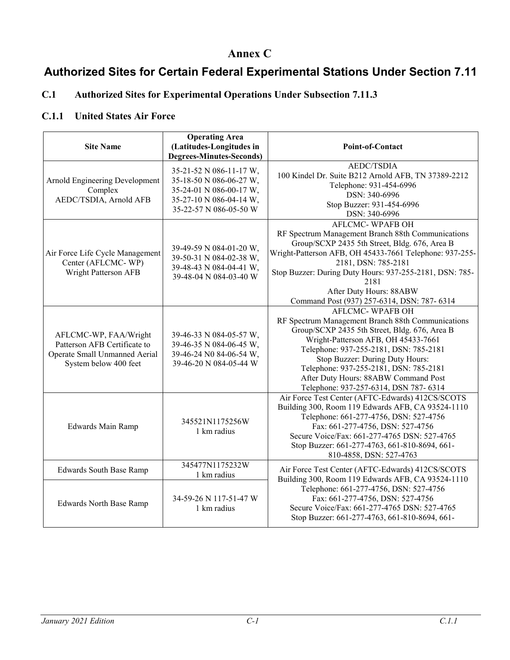### **Annex C**

# **Authorized Sites for Certain Federal Experimental Stations Under Section 7.11**

### **C.1 Authorized Sites for Experimental Operations Under Subsection 7.11.3**

#### **C.1.1 United States Air Force**

| <b>Site Name</b>                                                                                                | <b>Operating Area</b><br>(Latitudes-Longitudes in<br><b>Degrees-Minutes-Seconds)</b>                                               | <b>Point-of-Contact</b>                                                                                                                                                                                                                                                                                                                                                     |
|-----------------------------------------------------------------------------------------------------------------|------------------------------------------------------------------------------------------------------------------------------------|-----------------------------------------------------------------------------------------------------------------------------------------------------------------------------------------------------------------------------------------------------------------------------------------------------------------------------------------------------------------------------|
| Arnold Engineering Development<br>Complex<br>AEDC/TSDIA, Arnold AFB                                             | 35-21-52 N 086-11-17 W,<br>35-18-50 N 086-06-27 W,<br>35-24-01 N 086-00-17 W,<br>35-27-10 N 086-04-14 W,<br>35-22-57 N 086-05-50 W | <b>AEDC/TSDIA</b><br>100 Kindel Dr. Suite B212 Arnold AFB, TN 37389-2212<br>Telephone: 931-454-6996<br>DSN: 340-6996<br>Stop Buzzer: 931-454-6996<br>DSN: 340-6996                                                                                                                                                                                                          |
| Air Force Life Cycle Management<br>Center (AFLCMC-WP)<br>Wright Patterson AFB                                   | 39-49-59 N 084-01-20 W,<br>39-50-31 N 084-02-38 W,<br>39-48-43 N 084-04-41 W,<br>39-48-04 N 084-03-40 W                            | <b>AFLCMC- WPAFB OH</b><br>RF Spectrum Management Branch 88th Communications<br>Group/SCXP 2435 5th Street, Bldg. 676, Area B<br>Wright-Patterson AFB, OH 45433-7661 Telephone: 937-255-<br>2181, DSN: 785-2181<br>Stop Buzzer: During Duty Hours: 937-255-2181, DSN: 785-<br>2181<br>After Duty Hours: 88ABW<br>Command Post (937) 257-6314, DSN: 787-6314                 |
| AFLCMC-WP, FAA/Wright<br>Patterson AFB Certificate to<br>Operate Small Unmanned Aerial<br>System below 400 feet | 39-46-33 N 084-05-57 W,<br>39-46-35 N 084-06-45 W,<br>39-46-24 N0 84-06-54 W,<br>39-46-20 N 084-05-44 W                            | <b>AFLCMC-WPAFB OH</b><br>RF Spectrum Management Branch 88th Communications<br>Group/SCXP 2435 5th Street, Bldg. 676, Area B<br>Wright-Patterson AFB, OH 45433-7661<br>Telephone: 937-255-2181, DSN: 785-2181<br>Stop Buzzer: During Duty Hours:<br>Telephone: 937-255-2181, DSN: 785-2181<br>After Duty Hours: 88ABW Command Post<br>Telephone: 937-257-6314, DSN 787-6314 |
| <b>Edwards Main Ramp</b>                                                                                        | 345521N1175256W<br>1 km radius                                                                                                     | Air Force Test Center (AFTC-Edwards) 412CS/SCOTS<br>Building 300, Room 119 Edwards AFB, CA 93524-1110<br>Telephone: 661-277-4756, DSN: 527-4756<br>Fax: 661-277-4756, DSN: 527-4756<br>Secure Voice/Fax: 661-277-4765 DSN: 527-4765<br>Stop Buzzer: 661-277-4763, 661-810-8694, 661-<br>810-4858, DSN: 527-4763                                                             |
| <b>Edwards South Base Ramp</b>                                                                                  | 345477N1175232W<br>1 km radius                                                                                                     | Air Force Test Center (AFTC-Edwards) 412CS/SCOTS<br>Building 300, Room 119 Edwards AFB, CA 93524-1110                                                                                                                                                                                                                                                                       |
| <b>Edwards North Base Ramp</b>                                                                                  | 34-59-26 N 117-51-47 W<br>1 km radius                                                                                              | Telephone: 661-277-4756, DSN: 527-4756<br>Fax: 661-277-4756, DSN: 527-4756<br>Secure Voice/Fax: 661-277-4765 DSN: 527-4765<br>Stop Buzzer: 661-277-4763, 661-810-8694, 661-                                                                                                                                                                                                 |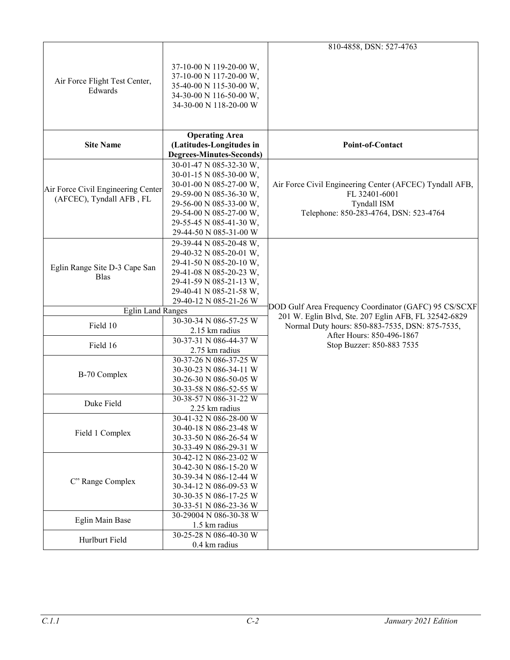|                                                                |                                                                                                                                                                                                                     | 810-4858, DSN: 527-4763                                                                                                                  |
|----------------------------------------------------------------|---------------------------------------------------------------------------------------------------------------------------------------------------------------------------------------------------------------------|------------------------------------------------------------------------------------------------------------------------------------------|
| Air Force Flight Test Center,<br>Edwards                       | 37-10-00 N 119-20-00 W,<br>37-10-00 N 117-20-00 W,<br>35-40-00 N 115-30-00 W,<br>34-30-00 N 116-50-00 W,<br>34-30-00 N 118-20-00 W                                                                                  |                                                                                                                                          |
| <b>Site Name</b>                                               | <b>Operating Area</b><br>(Latitudes-Longitudes in<br><b>Degrees-Minutes-Seconds)</b>                                                                                                                                | Point-of-Contact                                                                                                                         |
| Air Force Civil Engineering Center<br>(AFCEC), Tyndall AFB, FL | 30-01-47 N 085-32-30 W,<br>30-01-15 N 085-30-00 W,<br>30-01-00 N 085-27-00 W,<br>29-59-00 N 085-36-30 W,<br>29-56-00 N 085-33-00 W,<br>29-54-00 N 085-27-00 W,<br>29-55-45 N 085-41-30 W,<br>29-44-50 N 085-31-00 W | Air Force Civil Engineering Center (AFCEC) Tyndall AFB,<br>FL 32401-6001<br><b>Tyndall ISM</b><br>Telephone: 850-283-4764, DSN: 523-4764 |
| Eglin Range Site D-3 Cape San<br><b>Blas</b>                   | 29-39-44 N 085-20-48 W,<br>29-40-32 N 085-20-01 W,<br>29-41-50 N 085-20-10 W,<br>29-41-08 N 085-20-23 W,<br>29-41-59 N 085-21-13 W,<br>29-40-41 N 085-21-58 W,<br>29-40-12 N 085-21-26 W                            |                                                                                                                                          |
| <b>Eglin Land Ranges</b>                                       |                                                                                                                                                                                                                     | DOD Gulf Area Frequency Coordinator (GAFC) 95 CS/SCXF                                                                                    |
| Field 10                                                       | 30-30-34 N 086-57-25 W<br>2.15 km radius                                                                                                                                                                            | 201 W. Eglin Blvd, Ste. 207 Eglin AFB, FL 32542-6829<br>Normal Duty hours: 850-883-7535, DSN: 875-7535,<br>After Hours: 850-496-1867     |
| Field 16                                                       | 30-37-31 N 086-44-37 W<br>2.75 km radius                                                                                                                                                                            | Stop Buzzer: 850-883 7535                                                                                                                |
| B-70 Complex                                                   | 30-37-26 N 086-37-25 W<br>30-30-23 N 086-34-11 W<br>30-26-30 N 086-50-05 W<br>30-33-58 N 086-52-55 W                                                                                                                |                                                                                                                                          |
| Duke Field                                                     | 30-38-57 N 086-31-22 W<br>2.25 km radius                                                                                                                                                                            |                                                                                                                                          |
| Field 1 Complex                                                | 30-41-32 N 086-28-00 W<br>30-40-18 N 086-23-48 W<br>30-33-50 N 086-26-54 W<br>30-33-49 N 086-29-31 W                                                                                                                |                                                                                                                                          |
| C" Range Complex                                               | 30-42-12 N 086-23-02 W<br>30-42-30 N 086-15-20 W<br>30-39-34 N 086-12-44 W<br>30-34-12 N 086-09-53 W<br>30-30-35 N 086-17-25 W<br>30-33-51 N 086-23-36 W                                                            |                                                                                                                                          |
| Eglin Main Base                                                | 30-29004 N 086-30-38 W<br>1.5 km radius                                                                                                                                                                             |                                                                                                                                          |
| Hurlburt Field                                                 | 30-25-28 N 086-40-30 W<br>0.4 km radius                                                                                                                                                                             |                                                                                                                                          |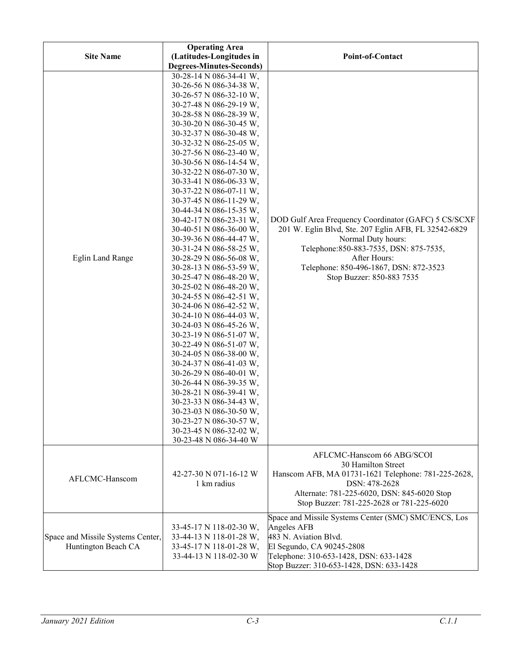| <b>Site Name</b>                                         | <b>Operating Area</b><br>(Latitudes-Longitudes in                                                                                                                                                                                                                                                                                                                                                                                                                                                                                                                                                                                                                                                                                                                                                                                                                                                                                                                                                                                                                                                                           | Point-of-Contact                                                                                                                                                                                                                                                     |
|----------------------------------------------------------|-----------------------------------------------------------------------------------------------------------------------------------------------------------------------------------------------------------------------------------------------------------------------------------------------------------------------------------------------------------------------------------------------------------------------------------------------------------------------------------------------------------------------------------------------------------------------------------------------------------------------------------------------------------------------------------------------------------------------------------------------------------------------------------------------------------------------------------------------------------------------------------------------------------------------------------------------------------------------------------------------------------------------------------------------------------------------------------------------------------------------------|----------------------------------------------------------------------------------------------------------------------------------------------------------------------------------------------------------------------------------------------------------------------|
| <b>Eglin Land Range</b>                                  | <b>Degrees-Minutes-Seconds)</b><br>30-28-14 N 086-34-41 W,<br>30-26-56 N 086-34-38 W,<br>30-26-57 N 086-32-10 W,<br>30-27-48 N 086-29-19 W,<br>30-28-58 N 086-28-39 W,<br>30-30-20 N 086-30-45 W,<br>30-32-37 N 086-30-48 W,<br>30-32-32 N 086-25-05 W,<br>30-27-56 N 086-23-40 W,<br>30-30-56 N 086-14-54 W,<br>30-32-22 N 086-07-30 W,<br>30-33-41 N 086-06-33 W,<br>30-37-22 N 086-07-11 W,<br>30-37-45 N 086-11-29 W,<br>30-44-34 N 086-15-35 W,<br>30-42-17 N 086-23-31 W,<br>30-40-51 N 086-36-00 W,<br>30-39-36 N 086-44-47 W,<br>30-31-24 N 086-58-25 W,<br>30-28-29 N 086-56-08 W,<br>30-28-13 N 086-53-59 W,<br>30-25-47 N 086-48-20 W,<br>30-25-02 N 086-48-20 W,<br>30-24-55 N 086-42-51 W,<br>30-24-06 N 086-42-52 W,<br>30-24-10 N 086-44-03 W,<br>30-24-03 N 086-45-26 W,<br>30-23-19 N 086-51-07 W,<br>30-22-49 N 086-51-07 W,<br>30-24-05 N 086-38-00 W,<br>30-24-37 N 086-41-03 W,<br>30-26-29 N 086-40-01 W,<br>30-26-44 N 086-39-35 W,<br>30-28-21 N 086-39-41 W,<br>30-23-33 N 086-34-43 W,<br>30-23-03 N 086-30-50 W,<br>30-23-27 N 086-30-57 W,<br>30-23-45 N 086-32-02 W,<br>30-23-48 N 086-34-40 W | DOD Gulf Area Frequency Coordinator (GAFC) 5 CS/SCXF<br>201 W. Eglin Blvd, Ste. 207 Eglin AFB, FL 32542-6829<br>Normal Duty hours:<br>Telephone: 850-883-7535, DSN: 875-7535,<br>After Hours:<br>Telephone: 850-496-1867, DSN: 872-3523<br>Stop Buzzer: 850-883 7535 |
| AFLCMC-Hanscom                                           | 42-27-30 N 071-16-12 W<br>1 km radius                                                                                                                                                                                                                                                                                                                                                                                                                                                                                                                                                                                                                                                                                                                                                                                                                                                                                                                                                                                                                                                                                       | AFLCMC-Hanscom 66 ABG/SCOI<br>30 Hamilton Street<br>Hanscom AFB, MA 01731-1621 Telephone: 781-225-2628,<br>DSN: 478-2628<br>Alternate: 781-225-6020, DSN: 845-6020 Stop<br>Stop Buzzer: 781-225-2628 or 781-225-6020                                                 |
| Space and Missile Systems Center,<br>Huntington Beach CA | 33-45-17 N 118-02-30 W,<br>33-44-13 N 118-01-28 W,<br>33-45-17 N 118-01-28 W,<br>33-44-13 N 118-02-30 W                                                                                                                                                                                                                                                                                                                                                                                                                                                                                                                                                                                                                                                                                                                                                                                                                                                                                                                                                                                                                     | Space and Missile Systems Center (SMC) SMC/ENCS, Los<br>Angeles AFB<br>483 N. Aviation Blvd.<br>El Segundo, CA 90245-2808<br>Telephone: 310-653-1428, DSN: 633-1428<br>Stop Buzzer: 310-653-1428, DSN: 633-1428                                                      |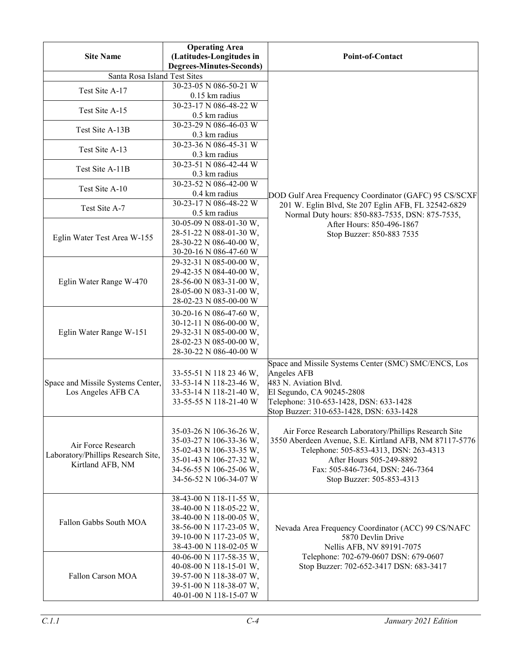| <b>Site Name</b>                   | <b>Operating Area</b><br>(Latitudes-Longitudes in<br><b>Degrees-Minutes-Seconds)</b> | Point-of-Contact                                                                                               |
|------------------------------------|--------------------------------------------------------------------------------------|----------------------------------------------------------------------------------------------------------------|
| Santa Rosa Island Test Sites       |                                                                                      |                                                                                                                |
|                                    | 30-23-05 N 086-50-21 W                                                               |                                                                                                                |
| Test Site A-17                     | 0.15 km radius                                                                       |                                                                                                                |
| Test Site A-15                     | 30-23-17 N 086-48-22 W                                                               |                                                                                                                |
|                                    | $0.5$ km radius                                                                      |                                                                                                                |
| Test Site A-13B                    | 30-23-29 N 086-46-03 W                                                               |                                                                                                                |
|                                    | 0.3 km radius<br>30-23-36 N 086-45-31 W                                              |                                                                                                                |
| Test Site A-13                     | 0.3 km radius                                                                        |                                                                                                                |
| Test Site A-11B                    | 30-23-51 N 086-42-44 W                                                               |                                                                                                                |
|                                    | 0.3 km radius                                                                        |                                                                                                                |
| Test Site A-10                     | 30-23-52 N 086-42-00 W                                                               |                                                                                                                |
|                                    | 0.4 km radius                                                                        | DOD Gulf Area Frequency Coordinator (GAFC) 95 CS/SCXF                                                          |
| Test Site A-7                      | 30-23-17 N 086-48-22 W                                                               | 201 W. Eglin Blvd, Ste 207 Eglin AFB, FL 32542-6829                                                            |
|                                    | 0.5 km radius<br>$30-05-09 \text{ N}$ 088-01-30 W,                                   | Normal Duty hours: 850-883-7535, DSN: 875-7535,                                                                |
|                                    | 28-51-22 N 088-01-30 W,                                                              | After Hours: 850-496-1867                                                                                      |
| Eglin Water Test Area W-155        | 28-30-22 N 086-40-00 W,                                                              | Stop Buzzer: 850-883 7535                                                                                      |
|                                    | 30-20-16 N 086-47-60 W                                                               |                                                                                                                |
|                                    | 29-32-31 N 085-00-00 W,                                                              |                                                                                                                |
|                                    | 29-42-35 N 084-40-00 W,                                                              |                                                                                                                |
| Eglin Water Range W-470            | 28-56-00 N 083-31-00 W,                                                              |                                                                                                                |
|                                    | 28-05-00 N 083-31-00 W,                                                              |                                                                                                                |
|                                    | 28-02-23 N 085-00-00 W                                                               |                                                                                                                |
|                                    | 30-20-16 N 086-47-60 W,                                                              |                                                                                                                |
|                                    | 30-12-11 N 086-00-00 W,                                                              |                                                                                                                |
| Eglin Water Range W-151            | 29-32-31 N 085-00-00 W,                                                              |                                                                                                                |
|                                    | 28-02-23 N 085-00-00 W,<br>28-30-22 N 086-40-00 W                                    |                                                                                                                |
|                                    |                                                                                      | Space and Missile Systems Center (SMC) SMC/ENCS, Los                                                           |
|                                    | 33-55-51 N 118 23 46 W,                                                              | Angeles AFB                                                                                                    |
| Space and Missile Systems Center,  | 33-53-14 N 118-23-46 W,                                                              | 483 N. Aviation Blvd.                                                                                          |
| Los Angeles AFB CA                 | 33-53-14 N 118-21-40 W,                                                              | El Segundo, CA 90245-2808                                                                                      |
|                                    | 33-55-55 N 118-21-40 W                                                               | Telephone: 310-653-1428, DSN: 633-1428                                                                         |
|                                    |                                                                                      | Stop Buzzer: 310-653-1428, DSN: 633-1428                                                                       |
|                                    |                                                                                      |                                                                                                                |
|                                    | 35-03-26 N 106-36-26 W,<br>35-03-27 N 106-33-36 W,                                   | Air Force Research Laboratory/Phillips Research Site<br>3550 Aberdeen Avenue, S.E. Kirtland AFB, NM 87117-5776 |
| Air Force Research                 | 35-02-43 N 106-33-35 W,                                                              | Telephone: 505-853-4313, DSN: 263-4313                                                                         |
| Laboratory/Phillips Research Site, | 35-01-43 N 106-27-32 W,                                                              | After Hours 505-249-8892                                                                                       |
| Kirtland AFB, NM                   | 34-56-55 N 106-25-06 W,                                                              | Fax: 505-846-7364, DSN: 246-7364                                                                               |
|                                    | 34-56-52 N 106-34-07 W                                                               | Stop Buzzer: 505-853-4313                                                                                      |
|                                    |                                                                                      |                                                                                                                |
|                                    | 38-43-00 N 118-11-55 W,                                                              |                                                                                                                |
|                                    | 38-40-00 N 118-05-22 W,<br>38-40-00 N 118-00-05 W,                                   |                                                                                                                |
| Fallon Gabbs South MOA             | 38-56-00 N 117-23-05 W,                                                              | Nevada Area Frequency Coordinator (ACC) 99 CS/NAFC                                                             |
|                                    | 39-10-00 N 117-23-05 W,                                                              | 5870 Devlin Drive                                                                                              |
|                                    | 38-43-00 N 118-02-05 W                                                               | Nellis AFB, NV 89191-7075                                                                                      |
|                                    | 40-06-00 N 117-58-35 W,                                                              | Telephone: 702-679-0607 DSN: 679-0607                                                                          |
|                                    | 40-08-00 N 118-15-01 W,                                                              | Stop Buzzer: 702-652-3417 DSN: 683-3417                                                                        |
| Fallon Carson MOA                  | 39-57-00 N 118-38-07 W,                                                              |                                                                                                                |
|                                    | 39-51-00 N 118-38-07 W,                                                              |                                                                                                                |
|                                    | 40-01-00 N 118-15-07 W                                                               |                                                                                                                |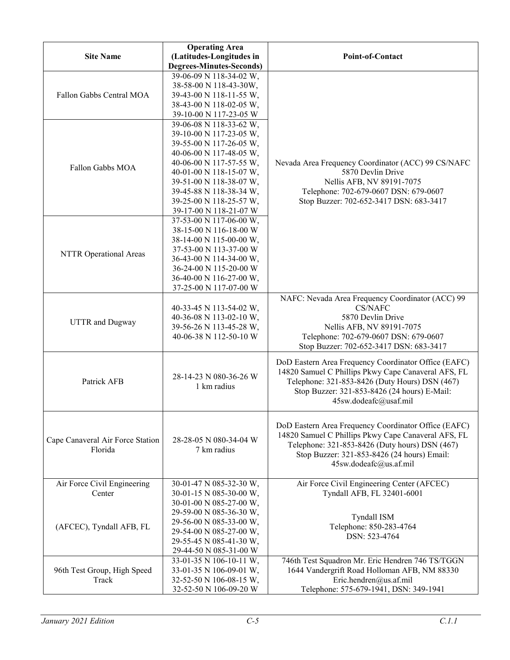| <b>Site Name</b>                            | <b>Operating Area</b><br>(Latitudes-Longitudes in<br><b>Degrees-Minutes-Seconds)</b>                                                                                                                                                                                      | Point-of-Contact                                                                                                                                                                                                                       |
|---------------------------------------------|---------------------------------------------------------------------------------------------------------------------------------------------------------------------------------------------------------------------------------------------------------------------------|----------------------------------------------------------------------------------------------------------------------------------------------------------------------------------------------------------------------------------------|
| Fallon Gabbs Central MOA                    | 39-06-09 N 118-34-02 W,<br>38-58-00 N 118-43-30W,<br>39-43-00 N 118-11-55 W,<br>38-43-00 N 118-02-05 W,<br>39-10-00 N 117-23-05 W                                                                                                                                         |                                                                                                                                                                                                                                        |
| Fallon Gabbs MOA                            | 39-06-08 N 118-33-62 W,<br>39-10-00 N 117-23-05 W,<br>39-55-00 N 117-26-05 W,<br>40-06-00 N 117-48-05 W,<br>40-06-00 N 117-57-55 W,<br>40-01-00 N 118-15-07 W,<br>39-51-00 N 118-38-07 W,<br>39-45-88 N 118-38-34 W,<br>39-25-00 N 118-25-57 W,<br>39-17-00 N 118-21-07 W | Nevada Area Frequency Coordinator (ACC) 99 CS/NAFC<br>5870 Devlin Drive<br>Nellis AFB, NV 89191-7075<br>Telephone: 702-679-0607 DSN: 679-0607<br>Stop Buzzer: 702-652-3417 DSN: 683-3417                                               |
| NTTR Operational Areas                      | 37-53-00 N 117-06-00 W,<br>38-15-00 N 116-18-00 W<br>38-14-00 N 115-00-00 W,<br>37-53-00 N 113-37-00 W<br>36-43-00 N 114-34-00 W,<br>36-24-00 N 115-20-00 W<br>36-40-00 N 116-27-00 W,<br>37-25-00 N 117-07-00 W                                                          |                                                                                                                                                                                                                                        |
| <b>UTTR</b> and Dugway                      | 40-33-45 N 113-54-02 W,<br>40-36-08 N 113-02-10 W,<br>39-56-26 N 113-45-28 W,<br>40-06-38 N 112-50-10 W                                                                                                                                                                   | NAFC: Nevada Area Frequency Coordinator (ACC) 99<br>CS/NAFC<br>5870 Devlin Drive<br>Nellis AFB, NV 89191-7075<br>Telephone: 702-679-0607 DSN: 679-0607<br>Stop Buzzer: 702-652-3417 DSN: 683-3417                                      |
| Patrick AFB                                 | 28-14-23 N 080-36-26 W<br>1 km radius                                                                                                                                                                                                                                     | DoD Eastern Area Frequency Coordinator Office (EAFC)<br>14820 Samuel C Phillips Pkwy Cape Canaveral AFS, FL<br>Telephone: 321-853-8426 (Duty Hours) DSN (467)<br>Stop Buzzer: 321-853-8426 (24 hours) E-Mail:<br>45sw.dodeafc@usaf.mil |
| Cape Canaveral Air Force Station<br>Florida | 28-28-05 N 080-34-04 W<br>7 km radius                                                                                                                                                                                                                                     | DoD Eastern Area Frequency Coordinator Office (EAFC)<br>14820 Samuel C Phillips Pkwy Cape Canaveral AFS, FL<br>Telephone: 321-853-8426 (Duty hours) DSN (467)<br>Stop Buzzer: 321-853-8426 (24 hours) Email:<br>45sw.dodeafc@us.af.mil |
| Air Force Civil Engineering<br>Center       | 30-01-47 N 085-32-30 W,<br>30-01-15 N 085-30-00 W,                                                                                                                                                                                                                        | Air Force Civil Engineering Center (AFCEC)<br>Tyndall AFB, FL 32401-6001                                                                                                                                                               |
| (AFCEC), Tyndall AFB, FL                    | 30-01-00 N 085-27-00 W,<br>29-59-00 N 085-36-30 W,<br>29-56-00 N 085-33-00 W,<br>29-54-00 N 085-27-00 W,<br>29-55-45 N 085-41-30 W,<br>29-44-50 N 085-31-00 W                                                                                                             | Tyndall ISM<br>Telephone: 850-283-4764<br>DSN: 523-4764                                                                                                                                                                                |
| 96th Test Group, High Speed<br>Track        | 33-01-35 N 106-10-11 W,<br>33-01-35 N 106-09-01 W,<br>32-52-50 N 106-08-15 W,<br>32-52-50 N 106-09-20 W                                                                                                                                                                   | 746th Test Squadron Mr. Eric Hendren 746 TS/TGGN<br>1644 Vandergrift Road Holloman AFB, NM 88330<br>Eric.hendren@us.af.mil<br>Telephone: 575-679-1941, DSN: 349-1941                                                                   |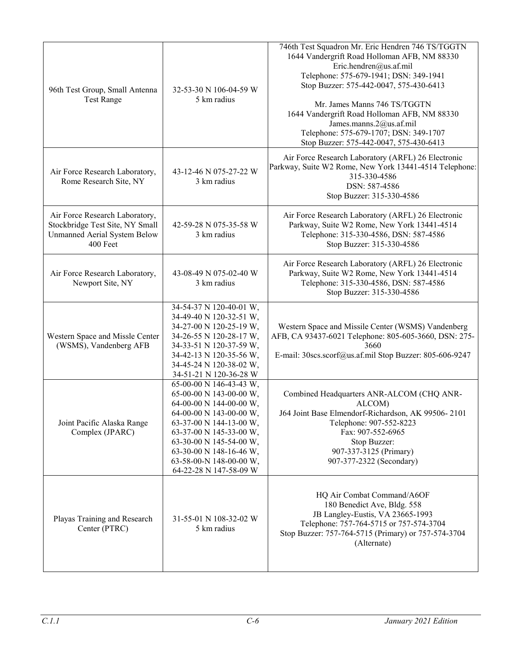| 96th Test Group, Small Antenna<br><b>Test Range</b>                                                           | 32-53-30 N 106-04-59 W<br>5 km radius                                                                                                                                                                                                                                     | 746th Test Squadron Mr. Eric Hendren 746 TS/TGGTN<br>1644 Vandergrift Road Holloman AFB, NM 88330<br>Eric.hendren@us.af.mil<br>Telephone: 575-679-1941; DSN: 349-1941<br>Stop Buzzer: 575-442-0047, 575-430-6413<br>Mr. James Manns 746 TS/TGGTN<br>1644 Vandergrift Road Holloman AFB, NM 88330<br>James.manns.2@us.af.mil<br>Telephone: 575-679-1707; DSN: 349-1707<br>Stop Buzzer: 575-442-0047, 575-430-6413 |
|---------------------------------------------------------------------------------------------------------------|---------------------------------------------------------------------------------------------------------------------------------------------------------------------------------------------------------------------------------------------------------------------------|------------------------------------------------------------------------------------------------------------------------------------------------------------------------------------------------------------------------------------------------------------------------------------------------------------------------------------------------------------------------------------------------------------------|
| Air Force Research Laboratory,<br>Rome Research Site, NY                                                      | 43-12-46 N 075-27-22 W<br>3 km radius                                                                                                                                                                                                                                     | Air Force Research Laboratory (ARFL) 26 Electronic<br>Parkway, Suite W2 Rome, New York 13441-4514 Telephone:<br>315-330-4586<br>DSN: 587-4586<br>Stop Buzzer: 315-330-4586                                                                                                                                                                                                                                       |
| Air Force Research Laboratory,<br>Stockbridge Test Site, NY Small<br>Unmanned Aerial System Below<br>400 Feet | 42-59-28 N 075-35-58 W<br>3 km radius                                                                                                                                                                                                                                     | Air Force Research Laboratory (ARFL) 26 Electronic<br>Parkway, Suite W2 Rome, New York 13441-4514<br>Telephone: 315-330-4586, DSN: 587-4586<br>Stop Buzzer: 315-330-4586                                                                                                                                                                                                                                         |
| Air Force Research Laboratory,<br>Newport Site, NY                                                            | 43-08-49 N 075-02-40 W<br>3 km radius                                                                                                                                                                                                                                     | Air Force Research Laboratory (ARFL) 26 Electronic<br>Parkway, Suite W2 Rome, New York 13441-4514<br>Telephone: 315-330-4586, DSN: 587-4586<br>Stop Buzzer: 315-330-4586                                                                                                                                                                                                                                         |
| Western Space and Missle Center<br>(WSMS), Vandenberg AFB                                                     | 34-54-37 N 120-40-01 W,<br>34-49-40 N 120-32-51 W,<br>34-27-00 N 120-25-19 W,<br>34-26-55 N 120-28-17 W,<br>34-33-51 N 120-37-59 W,<br>34-42-13 N 120-35-56 W,<br>34-45-24 N 120-38-02 W,<br>34-51-21 N 120-36-28 W                                                       | Western Space and Missile Center (WSMS) Vandenberg<br>AFB, CA 93437-6021 Telephone: 805-605-3660, DSN: 275-<br>3660<br>E-mail: 30scs.scorf@us.af.mil Stop Buzzer: 805-606-9247                                                                                                                                                                                                                                   |
| Joint Pacific Alaska Range<br>Complex (JPARC)                                                                 | 65-00-00 N 146-43-43 W,<br>65-00-00 N 143-00-00 W,<br>64-00-00 N 144-00-00 W,<br>64-00-00 N 143-00-00 W,<br>63-37-00 N 144-13-00 W,<br>63-37-00 N 145-33-00 W,<br>63-30-00 N 145-54-00 W,<br>63-30-00 N 148-16-46 W,<br>63-58-00-N 148-00-00 W,<br>64-22-28 N 147-58-09 W | Combined Headquarters ANR-ALCOM (CHQ ANR-<br>ALCOM)<br>J64 Joint Base Elmendorf-Richardson, AK 99506-2101<br>Telephone: 907-552-8223<br>Fax: 907-552-6965<br>Stop Buzzer:<br>907-337-3125 (Primary)<br>907-377-2322 (Secondary)                                                                                                                                                                                  |
| Playas Training and Research<br>Center (PTRC)                                                                 | 31-55-01 N 108-32-02 W<br>5 km radius                                                                                                                                                                                                                                     | HQ Air Combat Command/A6OF<br>180 Benedict Ave, Bldg. 558<br>JB Langley-Eustis, VA 23665-1993<br>Telephone: 757-764-5715 or 757-574-3704<br>Stop Buzzer: 757-764-5715 (Primary) or 757-574-3704<br>(Alternate)                                                                                                                                                                                                   |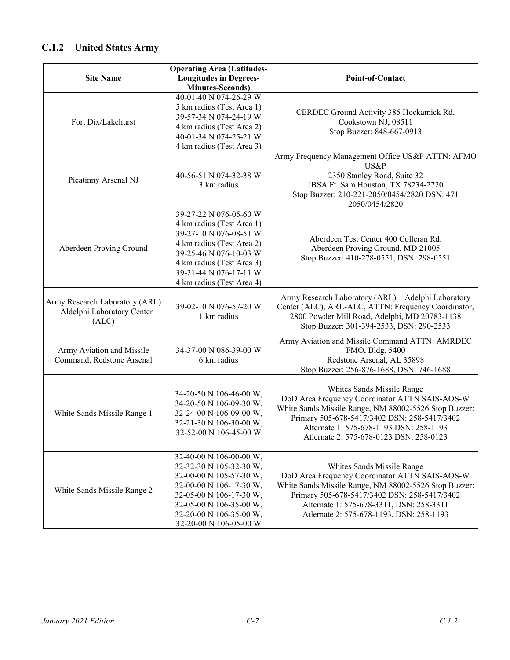## **C.1.2 United States Army**

|                                                                         | <b>Operating Area (Latitudes-</b>                                                                                                                                                                                        |                                                                                                                                                                                                                                                                               |
|-------------------------------------------------------------------------|--------------------------------------------------------------------------------------------------------------------------------------------------------------------------------------------------------------------------|-------------------------------------------------------------------------------------------------------------------------------------------------------------------------------------------------------------------------------------------------------------------------------|
| <b>Site Name</b>                                                        | <b>Longitudes in Degrees-</b>                                                                                                                                                                                            | Point-of-Contact                                                                                                                                                                                                                                                              |
|                                                                         | <b>Minutes-Seconds)</b>                                                                                                                                                                                                  |                                                                                                                                                                                                                                                                               |
|                                                                         | 40-01-40 N 074-26-29 W                                                                                                                                                                                                   |                                                                                                                                                                                                                                                                               |
|                                                                         | 5 km radius (Test Area 1)                                                                                                                                                                                                |                                                                                                                                                                                                                                                                               |
| Fort Dix/Lakehurst                                                      | 39-57-34 N 074-24-19 W                                                                                                                                                                                                   | CERDEC Ground Activity 385 Hockamick Rd.<br>Cookstown NJ, 08511                                                                                                                                                                                                               |
|                                                                         | 4 km radius (Test Area 2)                                                                                                                                                                                                | Stop Buzzer: 848-667-0913                                                                                                                                                                                                                                                     |
|                                                                         | 40-01-34 N 074-25-21 W                                                                                                                                                                                                   |                                                                                                                                                                                                                                                                               |
|                                                                         | 4 km radius (Test Area 3)                                                                                                                                                                                                |                                                                                                                                                                                                                                                                               |
| Picatinny Arsenal NJ                                                    | 40-56-51 N 074-32-38 W<br>3 km radius                                                                                                                                                                                    | Army Frequency Management Office US&P ATTN: AFMO<br>US&P<br>2350 Stanley Road, Suite 32<br>JBSA Ft. Sam Houston, TX 78234-2720                                                                                                                                                |
|                                                                         |                                                                                                                                                                                                                          | Stop Buzzer: 210-221-2050/0454/2820 DSN: 471                                                                                                                                                                                                                                  |
| Aberdeen Proving Ground                                                 | 39-27-22 N 076-05-60 W<br>4 km radius (Test Area 1)<br>39-27-10 N 076-08-51 W<br>4 km radius (Test Area 2)<br>39-25-46 N 076-10-03 W<br>4 km radius (Test Area 3)<br>39-21-44 N 076-17-11 W<br>4 km radius (Test Area 4) | 2050/0454/2820<br>Aberdeen Test Center 400 Colleran Rd.<br>Aberdeen Proving Ground, MD 21005<br>Stop Buzzer: 410-278-0551, DSN: 298-0551                                                                                                                                      |
| Army Research Laboratory (ARL)<br>- Aldelphi Laboratory Center<br>(ALC) | 39-02-10 N 076-57-20 W<br>1 km radius                                                                                                                                                                                    | Army Research Laboratory (ARL) - Adelphi Laboratory<br>Center (ALC), ARL-ALC, ATTN: Frequency Coordinator,<br>2800 Powder Mill Road, Adelphi, MD 20783-1138<br>Stop Buzzer: 301-394-2533, DSN: 290-2533                                                                       |
| Army Aviation and Missile<br>Command, Redstone Arsenal                  | 34-37-00 N 086-39-00 W<br>6 km radius                                                                                                                                                                                    | Army Aviation and Missile Command ATTN: AMRDEC<br>FMO, Bldg. 5400<br>Redstone Arsenal, AL 35898<br>Stop Buzzer: 256-876-1688, DSN: 746-1688                                                                                                                                   |
| White Sands Missile Range 1                                             | 34-20-50 N 106-46-00 W,<br>34-20-50 N 106-09-30 W,<br>32-24-00 N 106-09-00 W,<br>32-21-30 N 106-30-00 W,<br>32-52-00 N 106-45-00 W                                                                                       | Whites Sands Missile Range<br>DoD Area Frequency Coordinator ATTN SAIS-AOS-W<br>White Sands Missile Range, NM 88002-5526 Stop Buzzer:<br>Primary 505-678-5417/3402 DSN: 258-5417/3402<br>Alternate 1: 575-678-1193 DSN: 258-1193<br>Atlernate 2: 575-678-0123 DSN: 258-0123   |
| White Sands Missile Range 2                                             | 32-40-00 N 106-00-00 W,<br>32-32-30 N 105-32-30 W,<br>32-00-00 N 105-57-30 W,<br>32-00-00 N 106-17-30 W,<br>32-05-00 N 106-17-30 W,<br>32-05-00 N 106-35-00 W,<br>32-20-00 N 106-35-00 W,<br>32-20-00 N 106-05-00 W      | Whites Sands Missile Range<br>DoD Area Frequency Coordinator ATTN SAIS-AOS-W<br>White Sands Missile Range, NM 88002-5526 Stop Buzzer:<br>Primary 505-678-5417/3402 DSN: 258-5417/3402<br>Alternate 1: 575-678-3311, DSN: 258-3311<br>Atlernate 2: 575-678-1193, DSN: 258-1193 |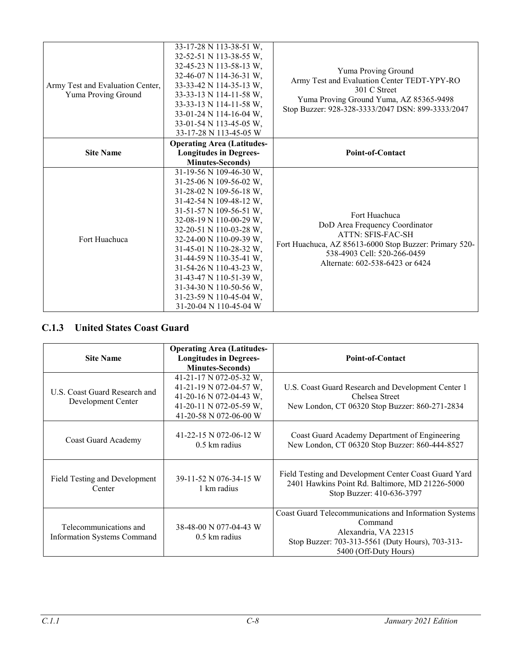| Army Test and Evaluation Center,<br>Yuma Proving Ground | 33-17-28 N 113-38-51 W,<br>32-52-51 N 113-38-55 W,<br>32-45-23 N 113-58-13 W,<br>32-46-07 N 114-36-31 W,<br>33-33-42 N 114-35-13 W,<br>33-33-13 N 114-11-58 W,<br>33-33-13 N 114-11-58 W,<br>33-01-24 N 114-16-04 W,<br>33-01-54 N 113-45-05 W,<br>33-17-28 N 113-45-05 W                                                                                                                                                                    | Yuma Proving Ground<br>Army Test and Evaluation Center TEDT-YPY-RO<br>301 C Street<br>Yuma Proving Ground Yuma, AZ 85365-9498<br>Stop Buzzer: 928-328-3333/2047 DSN: 899-3333/2047                      |
|---------------------------------------------------------|----------------------------------------------------------------------------------------------------------------------------------------------------------------------------------------------------------------------------------------------------------------------------------------------------------------------------------------------------------------------------------------------------------------------------------------------|---------------------------------------------------------------------------------------------------------------------------------------------------------------------------------------------------------|
| <b>Site Name</b>                                        | <b>Operating Area (Latitudes-</b><br><b>Longitudes in Degrees-</b>                                                                                                                                                                                                                                                                                                                                                                           | <b>Point-of-Contact</b>                                                                                                                                                                                 |
| Fort Huachuca                                           | <b>Minutes-Seconds</b> )<br>31-19-56 N 109-46-30 W,<br>31-25-06 N 109-56-02 W,<br>31-28-02 N 109-56-18 W,<br>31-42-54 N 109-48-12 W,<br>31-51-57 N 109-56-51 W,<br>32-08-19 N 110-00-29 W,<br>32-20-51 N 110-03-28 W,<br>32-24-00 N 110-09-39 W,<br>31-45-01 N 110-28-32 W,<br>31-44-59 N 110-35-41 W,<br>31-54-26 N 110-43-23 W,<br>31-43-47 N 110-51-39 W,<br>31-34-30 N 110-50-56 W,<br>31-23-59 N 110-45-04 W,<br>31-20-04 N 110-45-04 W | Fort Huachuca<br>DoD Area Frequency Coordinator<br><b>ATTN: SFIS-FAC-SH</b><br>Fort Huachuca, AZ 85613-6000 Stop Buzzer: Primary 520-<br>538-4903 Cell: 520-266-0459<br>Alternate: 602-538-6423 or 6424 |

### **C.1.3 United States Coast Guard**

| <b>Site Name</b>                                      | <b>Operating Area (Latitudes-</b><br><b>Longitudes in Degrees-</b><br><b>Minutes-Seconds</b> )                                     | <b>Point-of-Contact</b>                                                                                                                                                |
|-------------------------------------------------------|------------------------------------------------------------------------------------------------------------------------------------|------------------------------------------------------------------------------------------------------------------------------------------------------------------------|
| U.S. Coast Guard Research and<br>Development Center   | 41-21-17 N 072-05-32 W,<br>41-21-19 N 072-04-57 W,<br>41-20-16 N 072-04-43 W,<br>41-20-11 N 072-05-59 W,<br>41-20-58 N 072-06-00 W | U.S. Coast Guard Research and Development Center 1<br>Chelsea Street<br>New London, CT 06320 Stop Buzzer: 860-271-2834                                                 |
| Coast Guard Academy                                   | 41-22-15 N 072-06-12 W<br>$0.5 \mathrm{km}$ radius                                                                                 | Coast Guard Academy Department of Engineering<br>New London, CT 06320 Stop Buzzer: 860-444-8527                                                                        |
| Field Testing and Development<br>Center               | 39-11-52 N 076-34-15 W<br>1 km radius                                                                                              | Field Testing and Development Center Coast Guard Yard<br>2401 Hawkins Point Rd. Baltimore, MD 21226-5000<br>Stop Buzzer: 410-636-3797                                  |
| Telecommunications and<br>Information Systems Command | 38-48-00 N 077-04-43 W<br>$0.5 \text{ km}$ radius                                                                                  | Coast Guard Telecommunications and Information Systems<br>Command<br>Alexandria, VA 22315<br>Stop Buzzer: 703-313-5561 (Duty Hours), 703-313-<br>5400 (Off-Duty Hours) |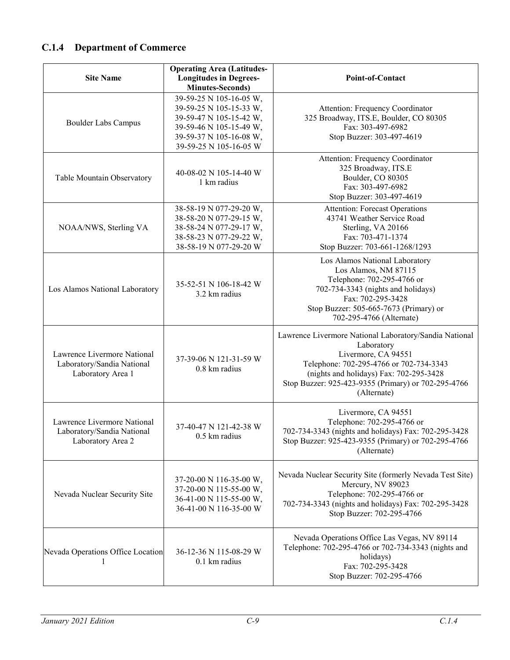### **C.1.4 Department of Commerce**

| <b>Site Name</b>                                                               | <b>Operating Area (Latitudes-</b><br><b>Longitudes in Degrees-</b><br><b>Minutes-Seconds)</b>                                                                 | <b>Point-of-Contact</b>                                                                                                                                                                                                                                 |
|--------------------------------------------------------------------------------|---------------------------------------------------------------------------------------------------------------------------------------------------------------|---------------------------------------------------------------------------------------------------------------------------------------------------------------------------------------------------------------------------------------------------------|
| <b>Boulder Labs Campus</b>                                                     | 39-59-25 N 105-16-05 W,<br>39-59-25 N 105-15-33 W,<br>39-59-47 N 105-15-42 W,<br>39-59-46 N 105-15-49 W,<br>39-59-37 N 105-16-08 W,<br>39-59-25 N 105-16-05 W | Attention: Frequency Coordinator<br>325 Broadway, ITS.E, Boulder, CO 80305<br>Fax: 303-497-6982<br>Stop Buzzer: 303-497-4619                                                                                                                            |
| Table Mountain Observatory                                                     | 40-08-02 N 105-14-40 W<br>1 km radius                                                                                                                         | Attention: Frequency Coordinator<br>325 Broadway, ITS.E<br>Boulder, CO 80305<br>Fax: 303-497-6982<br>Stop Buzzer: 303-497-4619                                                                                                                          |
| NOAA/NWS, Sterling VA                                                          | 38-58-19 N 077-29-20 W,<br>38-58-20 N 077-29-15 W,<br>38-58-24 N 077-29-17 W,<br>38-58-23 N 077-29-22 W,<br>38-58-19 N 077-29-20 W                            | <b>Attention: Forecast Operations</b><br>43741 Weather Service Road<br>Sterling, VA 20166<br>Fax: 703-471-1374<br>Stop Buzzer: 703-661-1268/1293                                                                                                        |
| Los Alamos National Laboratory                                                 | 35-52-51 N 106-18-42 W<br>3.2 km radius                                                                                                                       | Los Alamos National Laboratory<br>Los Alamos, NM 87115<br>Telephone: 702-295-4766 or<br>702-734-3343 (nights and holidays)<br>Fax: 702-295-3428<br>Stop Buzzer: 505-665-7673 (Primary) or<br>702-295-4766 (Alternate)                                   |
| Lawrence Livermore National<br>Laboratory/Sandia National<br>Laboratory Area 1 | 37-39-06 N 121-31-59 W<br>0.8 km radius                                                                                                                       | Lawrence Livermore National Laboratory/Sandia National<br>Laboratory<br>Livermore, CA 94551<br>Telephone: 702-295-4766 or 702-734-3343<br>(nights and holidays) Fax: 702-295-3428<br>Stop Buzzer: 925-423-9355 (Primary) or 702-295-4766<br>(Alternate) |
| Lawrence Livermore National<br>Laboratory/Sandia National<br>Laboratory Area 2 | 37-40-47 N 121-42-38 W<br>0.5 km radius                                                                                                                       | Livermore, CA 94551<br>Telephone: 702-295-4766 or<br>702-734-3343 (nights and holidays) Fax: 702-295-3428<br>Stop Buzzer: 925-423-9355 (Primary) or 702-295-4766<br>(Alternate)                                                                         |
| Nevada Nuclear Security Site                                                   | 37-20-00 N 116-35-00 W,<br>37-20-00 N 115-55-00 W,<br>36-41-00 N 115-55-00 W,<br>36-41-00 N 116-35-00 W                                                       | Nevada Nuclear Security Site (formerly Nevada Test Site)<br>Mercury, NV 89023<br>Telephone: 702-295-4766 or<br>702-734-3343 (nights and holidays) Fax: 702-295-3428<br>Stop Buzzer: 702-295-4766                                                        |
| Nevada Operations Office Location<br>1                                         | 36-12-36 N 115-08-29 W<br>0.1 km radius                                                                                                                       | Nevada Operations Office Las Vegas, NV 89114<br>Telephone: 702-295-4766 or 702-734-3343 (nights and<br>holidays)<br>Fax: 702-295-3428<br>Stop Buzzer: 702-295-4766                                                                                      |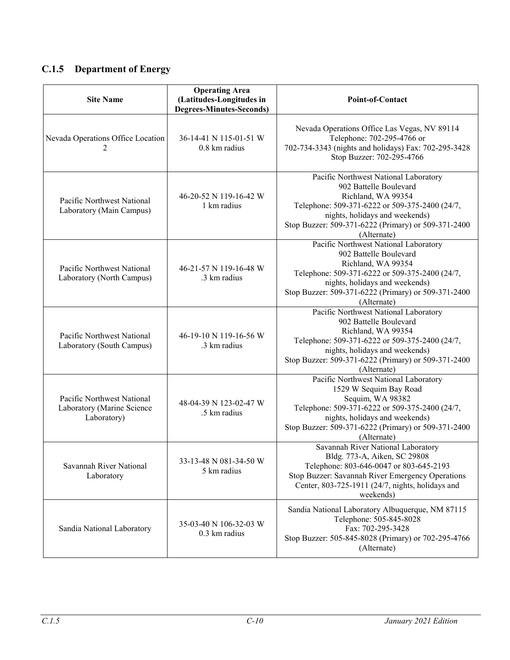### **C.1.5 Department of Energy**

| <b>Site Name</b>                                                        | <b>Operating Area</b><br>(Latitudes-Longitudes in<br><b>Degrees-Minutes-Seconds)</b> | <b>Point-of-Contact</b>                                                                                                                                                                                                                         |
|-------------------------------------------------------------------------|--------------------------------------------------------------------------------------|-------------------------------------------------------------------------------------------------------------------------------------------------------------------------------------------------------------------------------------------------|
| Nevada Operations Office Location                                       | 36-14-41 N 115-01-51 W<br>0.8 km radius                                              | Nevada Operations Office Las Vegas, NV 89114<br>Telephone: 702-295-4766 or<br>702-734-3343 (nights and holidays) Fax: 702-295-3428<br>Stop Buzzer: 702-295-4766                                                                                 |
| Pacific Northwest National<br>Laboratory (Main Campus)                  | 46-20-52 N 119-16-42 W<br>1 km radius                                                | Pacific Northwest National Laboratory<br>902 Battelle Boulevard<br>Richland, WA 99354<br>Telephone: 509-371-6222 or 509-375-2400 (24/7,<br>nights, holidays and weekends)<br>Stop Buzzer: 509-371-6222 (Primary) or 509-371-2400<br>(Alternate) |
| Pacific Northwest National<br>Laboratory (North Campus)                 | 46-21-57 N 119-16-48 W<br>.3 km radius                                               | Pacific Northwest National Laboratory<br>902 Battelle Boulevard<br>Richland, WA 99354<br>Telephone: 509-371-6222 or 509-375-2400 (24/7,<br>nights, holidays and weekends)<br>Stop Buzzer: 509-371-6222 (Primary) or 509-371-2400<br>(Alternate) |
| Pacific Northwest National<br>Laboratory (South Campus)                 | 46-19-10 N 119-16-56 W<br>.3 km radius                                               | Pacific Northwest National Laboratory<br>902 Battelle Boulevard<br>Richland, WA 99354<br>Telephone: 509-371-6222 or 509-375-2400 (24/7,<br>nights, holidays and weekends)<br>Stop Buzzer: 509-371-6222 (Primary) or 509-371-2400<br>(Alternate) |
| Pacific Northwest National<br>Laboratory (Marine Science<br>Laboratory) | 48-04-39 N 123-02-47 W<br>.5 km radius                                               | Pacific Northwest National Laboratory<br>1529 W Sequim Bay Road<br>Sequim, WA 98382<br>Telephone: 509-371-6222 or 509-375-2400 (24/7,<br>nights, holidays and weekends)<br>Stop Buzzer: 509-371-6222 (Primary) or 509-371-2400<br>(Alternate)   |
| Savannah River National<br>Laboratory                                   | 33-13-48 N 081-34-50 W<br>5 km radius                                                | Savannah River National Laboratory<br>Bldg. 773-A, Aiken, SC 29808<br>Telephone: 803-646-0047 or 803-645-2193<br>Stop Buzzer: Savannah River Emergency Operations<br>Center, 803-725-1911 (24/7, nights, holidays and<br>weekends)              |
| Sandia National Laboratory                                              | 35-03-40 N 106-32-03 W<br>0.3 km radius                                              | Sandia National Laboratory Albuquerque, NM 87115<br>Telephone: 505-845-8028<br>Fax: 702-295-3428<br>Stop Buzzer: 505-845-8028 (Primary) or 702-295-4766<br>(Alternate)                                                                          |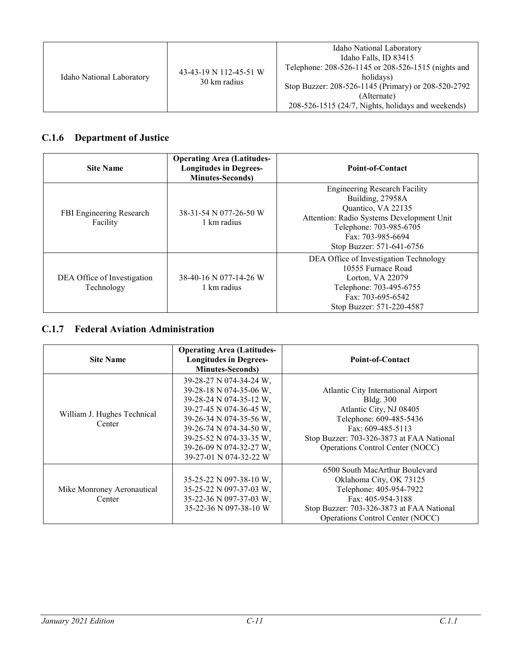| Idaho National Laboratory | 43-43-19 N 112-45-51 W<br>30 km radius | Idaho National Laboratory<br>Idaho Falls, ID 83415<br>Telephone: 208-526-1145 or 208-526-1515 (nights and<br>holidays)<br>Stop Buzzer: 208-526-1145 (Primary) or 208-520-2792<br>(Alternate)<br>$208-526-1515$ (24/7, Nights, holidays and weekends) |
|---------------------------|----------------------------------------|------------------------------------------------------------------------------------------------------------------------------------------------------------------------------------------------------------------------------------------------------|
|---------------------------|----------------------------------------|------------------------------------------------------------------------------------------------------------------------------------------------------------------------------------------------------------------------------------------------------|

### **C.1.6 Department of Justice**

| <b>Site Name</b>                          | <b>Operating Area (Latitudes-</b><br><b>Longitudes in Degrees-</b><br><b>Minutes-Seconds</b> ) | Point-of-Contact                                                                                                                                                                                         |
|-------------------------------------------|------------------------------------------------------------------------------------------------|----------------------------------------------------------------------------------------------------------------------------------------------------------------------------------------------------------|
| FBI Engineering Research<br>Facility      | 38-31-54 N 077-26-50 W<br>1 km radius                                                          | <b>Engineering Research Facility</b><br>Building, 27958A<br>Quantico, VA 22135<br>Attention: Radio Systems Development Unit<br>Telephone: 703-985-6705<br>Fax: 703-985-6694<br>Stop Buzzer: 571-641-6756 |
| DEA Office of Investigation<br>Technology | 38-40-16 N 077-14-26 W<br>1 km radius                                                          | DEA Office of Investigation Technology<br>10555 Furnace Road<br>Lorton, VA 22079<br>Telephone: 703-495-6755<br>Fax: 703-695-6542<br>Stop Buzzer: 571-220-4587                                            |

#### **C.1.7 Federal Aviation Administration**

| <b>Site Name</b>                      | <b>Operating Area (Latitudes-</b><br><b>Longitudes in Degrees-</b><br><b>Minutes-Seconds</b> )                                                                                                                                                 | <b>Point-of-Contact</b>                                                                                                                                                                                             |
|---------------------------------------|------------------------------------------------------------------------------------------------------------------------------------------------------------------------------------------------------------------------------------------------|---------------------------------------------------------------------------------------------------------------------------------------------------------------------------------------------------------------------|
| William J. Hughes Technical<br>Center | 39-28-27 N 074-34-24 W,<br>39-28-18 N 074-35-06 W.<br>39-28-24 N 074-35-12 W,<br>39-27-45 N 074-36-45 W,<br>39-26-34 N 074-35-56 W,<br>39-26-74 N 074-34-50 W,<br>39-25-52 N 074-33-35 W,<br>39-26-09 N 074-32-27 W,<br>39-27-01 N 074-32-22 W | Atlantic City International Airport<br><b>Bldg.</b> 300<br>Atlantic City, NJ 08405<br>Telephone: 609-485-5436<br>Fax: 609-485-5113<br>Stop Buzzer: 703-326-3873 at FAA National<br>Operations Control Center (NOCC) |
| Mike Monroney Aeronautical<br>Center  | $35-25-22 \text{ N } 097-38-10 \text{ W}$ ,<br>35-25-22 N 097-37-03 W,<br>35-22-36 N 097-37-03 W,<br>35-22-36 N 097-38-10 W                                                                                                                    | 6500 South MacArthur Boulevard<br>Oklahoma City, OK 73125<br>Telephone: 405-954-7922<br>Fax: 405-954-3188<br>Stop Buzzer: 703-326-3873 at FAA National<br>Operations Control Center (NOCC)                          |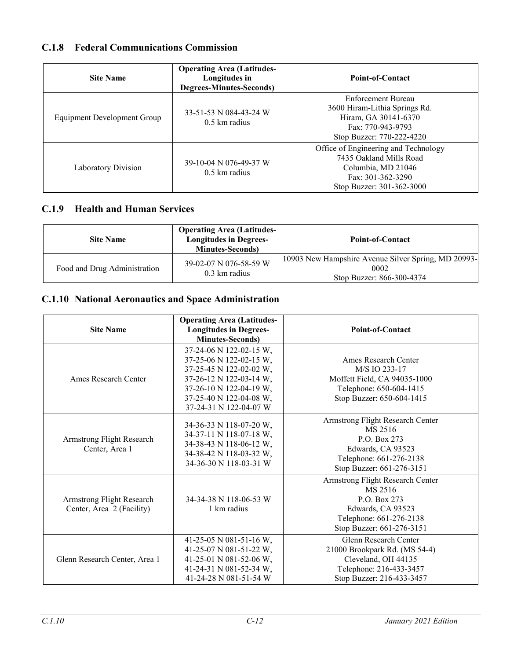#### **C.1.8 Federal Communications Commission**

| <b>Site Name</b>                   | <b>Operating Area (Latitudes-</b><br>Longitudes in<br><b>Degrees-Minutes-Seconds)</b> | <b>Point-of-Contact</b>                                                                                                                 |
|------------------------------------|---------------------------------------------------------------------------------------|-----------------------------------------------------------------------------------------------------------------------------------------|
| <b>Equipment Development Group</b> | 33-51-53 N 084-43-24 W<br>$0.5 \text{ km}$ radius                                     | Enforcement Bureau<br>3600 Hiram-Lithia Springs Rd.<br>Hiram, GA 30141-6370<br>Fax: 770-943-9793<br>Stop Buzzer: 770-222-4220           |
| Laboratory Division                | 39-10-04 N 076-49-37 W<br>$0.5 \text{ km}$ radius                                     | Office of Engineering and Technology<br>7435 Oakland Mills Road<br>Columbia, MD 21046<br>Fax: 301-362-3290<br>Stop Buzzer: 301-362-3000 |

#### **C.1.9 Health and Human Services**

| <b>Site Name</b>             | <b>Operating Area (Latitudes-</b><br><b>Longitudes in Degrees-</b><br><b>Minutes-Seconds</b> ) | <b>Point-of-Contact</b>                                                                   |
|------------------------------|------------------------------------------------------------------------------------------------|-------------------------------------------------------------------------------------------|
| Food and Drug Administration | 39-02-07 N 076-58-59 W<br>$0.3 \text{ km}$ radius                                              | [10903 New Hampshire Avenue Silver Spring, MD 20993-<br>0002<br>Stop Buzzer: 866-300-4374 |

#### **C.1.10 National Aeronautics and Space Administration**

| <b>Site Name</b>                                              | <b>Operating Area (Latitudes-</b><br><b>Longitudes in Degrees-</b><br><b>Minutes-Seconds)</b>                                                                                            | Point-of-Contact                                                                                                                         |
|---------------------------------------------------------------|------------------------------------------------------------------------------------------------------------------------------------------------------------------------------------------|------------------------------------------------------------------------------------------------------------------------------------------|
| Ames Research Center                                          | 37-24-06 N 122-02-15 W,<br>37-25-06 N 122-02-15 W,<br>37-25-45 N 122-02-02 W,<br>37-26-12 N 122-03-14 W,<br>37-26-10 N 122-04-19 W,<br>37-25-40 N 122-04-08 W,<br>37-24-31 N 122-04-07 W | Ames Research Center<br>M/S IO 233-17<br>Moffett Field, CA 94035-1000<br>Telephone: 650-604-1415<br>Stop Buzzer: 650-604-1415            |
| <b>Armstrong Flight Research</b><br>Center, Area 1            | 34-36-33 N 118-07-20 W,<br>34-37-11 N 118-07-18 W,<br>34-38-43 N 118-06-12 W,<br>34-38-42 N 118-03-32 W,<br>34-36-30 N 118-03-31 W                                                       | Armstrong Flight Research Center<br>MS 2516<br>P.O. Box 273<br>Edwards, CA 93523<br>Telephone: 661-276-2138<br>Stop Buzzer: 661-276-3151 |
| <b>Armstrong Flight Research</b><br>Center, Area 2 (Facility) | 34-34-38 N 118-06-53 W<br>1 km radius                                                                                                                                                    | Armstrong Flight Research Center<br>MS 2516<br>P.O. Box 273<br>Edwards, CA 93523<br>Telephone: 661-276-2138<br>Stop Buzzer: 661-276-3151 |
| Glenn Research Center, Area 1                                 | 41-25-05 N 081-51-16 W,<br>41-25-07 N 081-51-22 W,<br>41-25-01 N 081-52-06 W,<br>41-24-31 N 081-52-34 W,<br>41-24-28 N 081-51-54 W                                                       | Glenn Research Center<br>21000 Brookpark Rd. (MS 54-4)<br>Cleveland, OH 44135<br>Telephone: 216-433-3457<br>Stop Buzzer: 216-433-3457    |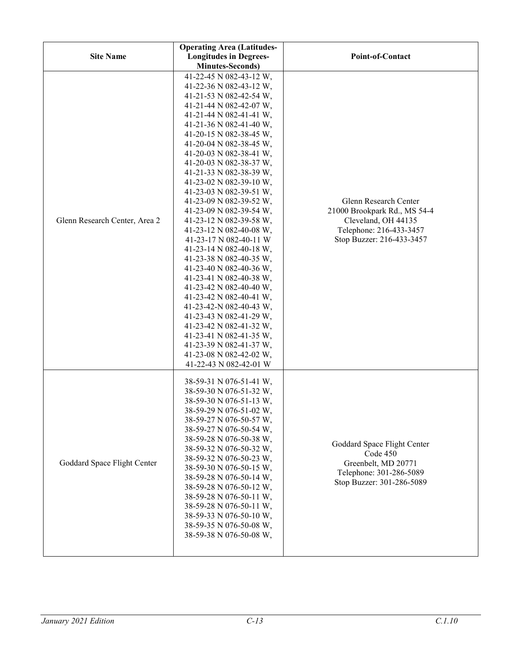| <b>Site Name</b>              | <b>Operating Area (Latitudes-</b><br><b>Longitudes in Degrees-</b>                                                                                                                                                                                                                                                                                                                                                                                                                                                                                                                                                                                                                                                                                                                                                                                                                         | Point-of-Contact                                                                                                                     |
|-------------------------------|--------------------------------------------------------------------------------------------------------------------------------------------------------------------------------------------------------------------------------------------------------------------------------------------------------------------------------------------------------------------------------------------------------------------------------------------------------------------------------------------------------------------------------------------------------------------------------------------------------------------------------------------------------------------------------------------------------------------------------------------------------------------------------------------------------------------------------------------------------------------------------------------|--------------------------------------------------------------------------------------------------------------------------------------|
| Glenn Research Center, Area 2 | <b>Minutes-Seconds)</b><br>41-22-45 N 082-43-12 W,<br>41-22-36 N 082-43-12 W,<br>41-21-53 N 082-42-54 W,<br>41-21-44 N 082-42-07 W,<br>41-21-44 N 082-41-41 W,<br>41-21-36 N 082-41-40 W,<br>41-20-15 N 082-38-45 W,<br>41-20-04 N 082-38-45 W,<br>41-20-03 N 082-38-41 W,<br>41-20-03 N 082-38-37 W,<br>41-21-33 N 082-38-39 W,<br>41-23-02 N 082-39-10 W,<br>41-23-03 N 082-39-51 W,<br>41-23-09 N 082-39-52 W,<br>41-23-09 N 082-39-54 W,<br>41-23-12 N 082-39-58 W,<br>41-23-12 N 082-40-08 W,<br>41-23-17 N 082-40-11 W<br>41-23-14 N 082-40-18 W,<br>41-23-38 N 082-40-35 W,<br>41-23-40 N 082-40-36 W,<br>41-23-41 N 082-40-38 W,<br>41-23-42 N 082-40-40 W,<br>41-23-42 N 082-40-41 W,<br>41-23-42-N 082-40-43 W,<br>41-23-43 N 082-41-29 W,<br>41-23-42 N 082-41-32 W,<br>41-23-41 N 082-41-35 W,<br>41-23-39 N 082-41-37 W,<br>41-23-08 N 082-42-02 W,<br>41-22-43 N 082-42-01 W | Glenn Research Center<br>21000 Brookpark Rd., MS 54-4<br>Cleveland, OH 44135<br>Telephone: 216-433-3457<br>Stop Buzzer: 216-433-3457 |
| Goddard Space Flight Center   | 38-59-31 N 076-51-41 W,<br>38-59-30 N 076-51-32 W,<br>38-59-30 N 076-51-13 W,<br>38-59-29 N 076-51-02 W,<br>38-59-27 N 076-50-57 W,<br>38-59-27 N 076-50-54 W,<br>38-59-28 N 076-50-38 W,<br>38-59-32 N 076-50-32 W,<br>38-59-32 N 076-50-23 W,<br>38-59-30 N 076-50-15 W,<br>38-59-28 N 076-50-14 W,<br>38-59-28 N 076-50-12 W,<br>38-59-28 N 076-50-11 W,<br>38-59-28 N 076-50-11 W,<br>38-59-33 N 076-50-10 W,<br>38-59-35 N 076-50-08 W,<br>38-59-38 N 076-50-08 W,                                                                                                                                                                                                                                                                                                                                                                                                                    | Goddard Space Flight Center<br>Code 450<br>Greenbelt, MD 20771<br>Telephone: 301-286-5089<br>Stop Buzzer: 301-286-5089               |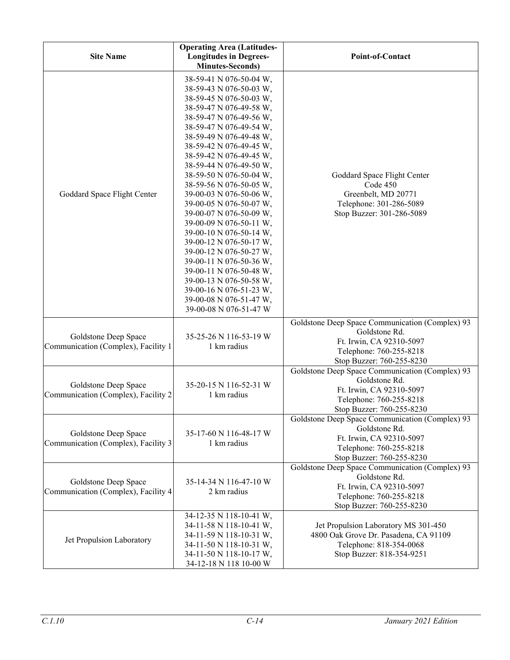| <b>Site Name</b>                                            | <b>Operating Area (Latitudes-</b><br><b>Longitudes in Degrees-</b><br><b>Minutes-Seconds)</b>                                                                                                                                                                                                                                                                                                                                                                                                                                                                                                                                                                        | <b>Point-of-Contact</b>                                                                                                                              |
|-------------------------------------------------------------|----------------------------------------------------------------------------------------------------------------------------------------------------------------------------------------------------------------------------------------------------------------------------------------------------------------------------------------------------------------------------------------------------------------------------------------------------------------------------------------------------------------------------------------------------------------------------------------------------------------------------------------------------------------------|------------------------------------------------------------------------------------------------------------------------------------------------------|
| Goddard Space Flight Center                                 | 38-59-41 N 076-50-04 W,<br>38-59-43 N 076-50-03 W,<br>38-59-45 N 076-50-03 W,<br>38-59-47 N 076-49-58 W,<br>38-59-47 N 076-49-56 W,<br>38-59-47 N 076-49-54 W,<br>38-59-49 N 076-49-48 W,<br>38-59-42 N 076-49-45 W,<br>38-59-42 N 076-49-45 W,<br>38-59-44 N 076-49-50 W,<br>38-59-50 N 076-50-04 W,<br>38-59-56 N 076-50-05 W,<br>39-00-03 N 076-50-06 W,<br>39-00-05 N 076-50-07 W,<br>39-00-07 N 076-50-09 W,<br>39-00-09 N 076-50-11 W,<br>39-00-10 N 076-50-14 W,<br>39-00-12 N 076-50-17 W,<br>39-00-12 N 076-50-27 W,<br>39-00-11 N 076-50-36 W,<br>39-00-11 N 076-50-48 W,<br>39-00-13 N 076-50-58 W,<br>39-00-16 N 076-51-23 W,<br>39-00-08 N 076-51-47 W, | Goddard Space Flight Center<br>Code 450<br>Greenbelt, MD 20771<br>Telephone: 301-286-5089<br>Stop Buzzer: 301-286-5089                               |
| Goldstone Deep Space<br>Communication (Complex), Facility 1 | 39-00-08 N 076-51-47 W<br>35-25-26 N 116-53-19 W<br>1 km radius                                                                                                                                                                                                                                                                                                                                                                                                                                                                                                                                                                                                      | Goldstone Deep Space Communication (Complex) 93<br>Goldstone Rd.<br>Ft. Irwin, CA 92310-5097<br>Telephone: 760-255-8218<br>Stop Buzzer: 760-255-8230 |
| Goldstone Deep Space<br>Communication (Complex), Facility 2 | 35-20-15 N 116-52-31 W<br>1 km radius                                                                                                                                                                                                                                                                                                                                                                                                                                                                                                                                                                                                                                | Goldstone Deep Space Communication (Complex) 93<br>Goldstone Rd.<br>Ft. Irwin, CA 92310-5097<br>Telephone: 760-255-8218<br>Stop Buzzer: 760-255-8230 |
| Goldstone Deep Space<br>Communication (Complex), Facility 3 | 35-17-60 N 116-48-17 W<br>1 km radius                                                                                                                                                                                                                                                                                                                                                                                                                                                                                                                                                                                                                                | Goldstone Deep Space Communication (Complex) 93<br>Goldstone Rd.<br>Ft. Irwin, CA 92310-5097<br>Telephone: 760-255-8218<br>Stop Buzzer: 760-255-8230 |
| Goldstone Deep Space<br>Communication (Complex), Facility 4 | 35-14-34 N 116-47-10 W<br>2 km radius                                                                                                                                                                                                                                                                                                                                                                                                                                                                                                                                                                                                                                | Goldstone Deep Space Communication (Complex) 93<br>Goldstone Rd.<br>Ft. Irwin, CA 92310-5097<br>Telephone: 760-255-8218<br>Stop Buzzer: 760-255-8230 |
| Jet Propulsion Laboratory                                   | 34-12-35 N 118-10-41 W,<br>34-11-58 N 118-10-41 W,<br>34-11-59 N 118-10-31 W,<br>34-11-50 N 118-10-31 W,<br>34-11-50 N 118-10-17 W,<br>34-12-18 N 118 10-00 W                                                                                                                                                                                                                                                                                                                                                                                                                                                                                                        | Jet Propulsion Laboratory MS 301-450<br>4800 Oak Grove Dr. Pasadena, CA 91109<br>Telephone: 818-354-0068<br>Stop Buzzer: 818-354-9251                |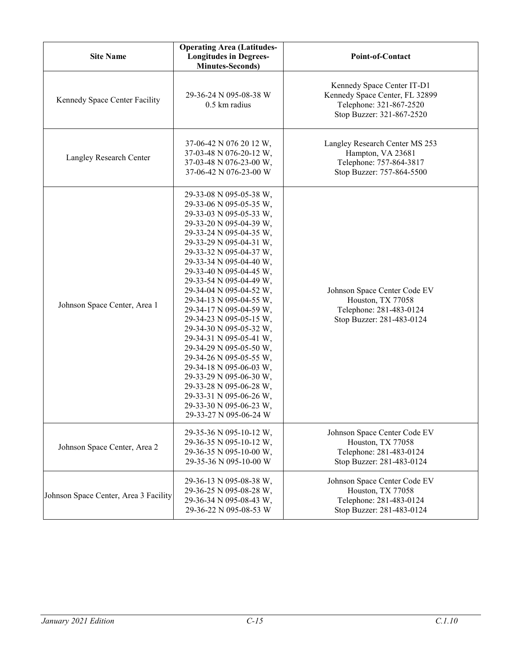| <b>Site Name</b>                      | <b>Operating Area (Latitudes-</b><br><b>Longitudes in Degrees-</b><br><b>Minutes-Seconds)</b>                                                                                                                                                                                                                                                                                                                                                                                                                                                                                                                                                                       | Point-of-Contact                                                                                                     |
|---------------------------------------|---------------------------------------------------------------------------------------------------------------------------------------------------------------------------------------------------------------------------------------------------------------------------------------------------------------------------------------------------------------------------------------------------------------------------------------------------------------------------------------------------------------------------------------------------------------------------------------------------------------------------------------------------------------------|----------------------------------------------------------------------------------------------------------------------|
| Kennedy Space Center Facility         | 29-36-24 N 095-08-38 W<br>0.5 km radius                                                                                                                                                                                                                                                                                                                                                                                                                                                                                                                                                                                                                             | Kennedy Space Center IT-D1<br>Kennedy Space Center, FL 32899<br>Telephone: 321-867-2520<br>Stop Buzzer: 321-867-2520 |
| Langley Research Center               | 37-06-42 N 076 20 12 W,<br>37-03-48 N 076-20-12 W,<br>37-03-48 N 076-23-00 W,<br>37-06-42 N 076-23-00 W                                                                                                                                                                                                                                                                                                                                                                                                                                                                                                                                                             | Langley Research Center MS 253<br>Hampton, VA 23681<br>Telephone: 757-864-3817<br>Stop Buzzer: 757-864-5500          |
| Johnson Space Center, Area 1          | 29-33-08 N 095-05-38 W,<br>29-33-06 N 095-05-35 W,<br>29-33-03 N 095-05-33 W,<br>29-33-20 N 095-04-39 W,<br>29-33-24 N 095-04-35 W,<br>29-33-29 N 095-04-31 W,<br>29-33-32 N 095-04-37 W,<br>29-33-34 N 095-04-40 W,<br>29-33-40 N 095-04-45 W,<br>29-33-54 N 095-04-49 W,<br>29-34-04 N 095-04-52 W,<br>29-34-13 N 095-04-55 W,<br>29-34-17 N 095-04-59 W,<br>29-34-23 N 095-05-15 W,<br>29-34-30 N 095-05-32 W,<br>29-34-31 N 095-05-41 W,<br>29-34-29 N 095-05-50 W,<br>29-34-26 N 095-05-55 W,<br>29-34-18 N 095-06-03 W,<br>29-33-29 N 095-06-30 W,<br>29-33-28 N 095-06-28 W,<br>29-33-31 N 095-06-26 W,<br>29-33-30 N 095-06-23 W,<br>29-33-27 N 095-06-24 W | Johnson Space Center Code EV<br>Houston, TX 77058<br>Telephone: 281-483-0124<br>Stop Buzzer: 281-483-0124            |
| Johnson Space Center, Area 2          | 29-35-36 N 095-10-12 W,<br>29-36-35 N 095-10-12 W,<br>29-36-35 N 095-10-00 W,<br>29-35-36 N 095-10-00 W                                                                                                                                                                                                                                                                                                                                                                                                                                                                                                                                                             | Johnson Space Center Code EV<br>Houston, TX 77058<br>Telephone: 281-483-0124<br>Stop Buzzer: 281-483-0124            |
| Johnson Space Center, Area 3 Facility | 29-36-13 N 095-08-38 W,<br>29-36-25 N 095-08-28 W,<br>29-36-34 N 095-08-43 W,<br>29-36-22 N 095-08-53 W                                                                                                                                                                                                                                                                                                                                                                                                                                                                                                                                                             | Johnson Space Center Code EV<br>Houston, TX 77058<br>Telephone: 281-483-0124<br>Stop Buzzer: 281-483-0124            |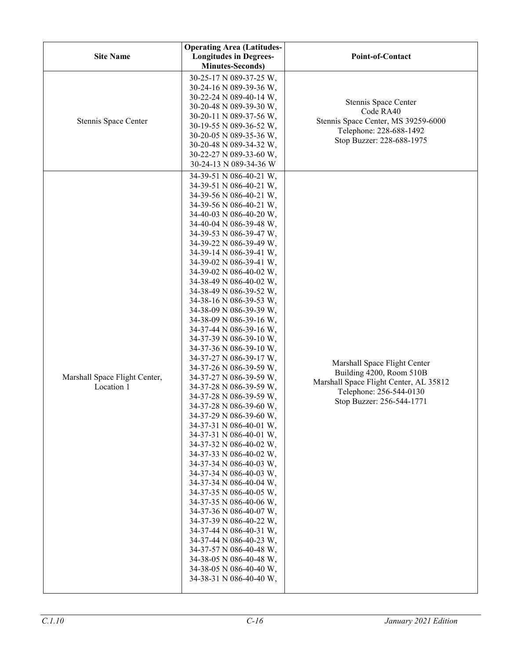| <b>Site Name</b>                            | <b>Operating Area (Latitudes-</b><br><b>Longitudes in Degrees-</b><br><b>Minutes-Seconds)</b>                                                                                                                                                                                                                                                                                                                                                                                                                                                                                                                                                                                                                                                                                                                                                                                                                                                                                                                                                                                                                                                                                                         | Point-of-Contact                                                                                                                                           |
|---------------------------------------------|-------------------------------------------------------------------------------------------------------------------------------------------------------------------------------------------------------------------------------------------------------------------------------------------------------------------------------------------------------------------------------------------------------------------------------------------------------------------------------------------------------------------------------------------------------------------------------------------------------------------------------------------------------------------------------------------------------------------------------------------------------------------------------------------------------------------------------------------------------------------------------------------------------------------------------------------------------------------------------------------------------------------------------------------------------------------------------------------------------------------------------------------------------------------------------------------------------|------------------------------------------------------------------------------------------------------------------------------------------------------------|
| Stennis Space Center                        | 30-25-17 N 089-37-25 W,<br>30-24-16 N 089-39-36 W,<br>30-22-24 N 089-40-14 W,<br>30-20-48 N 089-39-30 W,<br>30-20-11 N 089-37-56 W,<br>30-19-55 N 089-36-52 W,<br>30-20-05 N 089-35-36 W,<br>30-20-48 N 089-34-32 W,<br>30-22-27 N 089-33-60 W,<br>30-24-13 N 089-34-36 W                                                                                                                                                                                                                                                                                                                                                                                                                                                                                                                                                                                                                                                                                                                                                                                                                                                                                                                             | Stennis Space Center<br>Code RA40<br>Stennis Space Center, MS 39259-6000<br>Telephone: 228-688-1492<br>Stop Buzzer: 228-688-1975                           |
| Marshall Space Flight Center,<br>Location 1 | 34-39-51 N 086-40-21 W,<br>34-39-51 N 086-40-21 W,<br>34-39-56 N 086-40-21 W,<br>34-39-56 N 086-40-21 W,<br>34-40-03 N 086-40-20 W,<br>34-40-04 N 086-39-48 W,<br>34-39-53 N 086-39-47 W,<br>34-39-22 N 086-39-49 W,<br>34-39-14 N 086-39-41 W,<br>34-39-02 N 086-39-41 W,<br>34-39-02 N 086-40-02 W,<br>34-38-49 N 086-40-02 W,<br>34-38-49 N 086-39-52 W,<br>34-38-16 N 086-39-53 W,<br>34-38-09 N 086-39-39 W,<br>34-38-09 N 086-39-16 W,<br>34-37-44 N 086-39-16 W,<br>34-37-39 N 086-39-10 W,<br>34-37-36 N 086-39-10 W,<br>34-37-27 N 086-39-17 W,<br>34-37-26 N 086-39-59 W,<br>34-37-27 N 086-39-59 W,<br>34-37-28 N 086-39-59 W,<br>34-37-28 N 086-39-59 W,<br>34-37-28 N 086-39-60 W,<br>34-37-29 N 086-39-60 W,<br>34-37-31 N 086-40-01 W,<br>34-37-31 N 086-40-01 W,<br>34-37-32 N 086-40-02 W,<br>34-37-33 N 086-40-02 W,<br>34-37-34 N 086-40-03 W,<br>34-37-34 N 086-40-03 W,<br>34-37-34 N 086-40-04 W,<br>34-37-35 N 086-40-05 W,<br>34-37-35 N 086-40-06 W,<br>34-37-36 N 086-40-07 W,<br>34-37-39 N 086-40-22 W,<br>34-37-44 N 086-40-31 W,<br>34-37-44 N 086-40-23 W,<br>34-37-57 N 086-40-48 W,<br>34-38-05 N 086-40-48 W,<br>34-38-05 N 086-40-40 W,<br>34-38-31 N 086-40-40 W, | Marshall Space Flight Center<br>Building 4200, Room 510B<br>Marshall Space Flight Center, AL 35812<br>Telephone: 256-544-0130<br>Stop Buzzer: 256-544-1771 |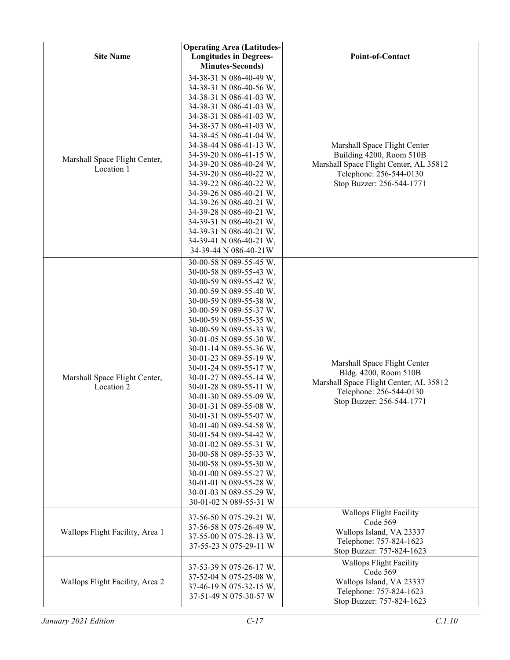| <b>Site Name</b>                            | <b>Operating Area (Latitudes-</b><br><b>Longitudes in Degrees-</b><br><b>Minutes-Seconds)</b>                                                                                                                                                                                                                                                                                                                                                                                                                                                                                                                                                                                                                             | Point-of-Contact                                                                                                                                           |
|---------------------------------------------|---------------------------------------------------------------------------------------------------------------------------------------------------------------------------------------------------------------------------------------------------------------------------------------------------------------------------------------------------------------------------------------------------------------------------------------------------------------------------------------------------------------------------------------------------------------------------------------------------------------------------------------------------------------------------------------------------------------------------|------------------------------------------------------------------------------------------------------------------------------------------------------------|
| Marshall Space Flight Center,<br>Location 1 | 34-38-31 N 086-40-49 W,<br>34-38-31 N 086-40-56 W,<br>34-38-31 N 086-41-03 W,<br>34-38-31 N 086-41-03 W,<br>34-38-31 N 086-41-03 W,<br>34-38-37 N 086-41-03 W,<br>34-38-45 N 086-41-04 W,<br>34-38-44 N 086-41-13 W,<br>34-39-20 N 086-41-15 W,<br>34-39-20 N 086-40-24 W,<br>34-39-20 N 086-40-22 W,<br>34-39-22 N 086-40-22 W,<br>34-39-26 N 086-40-21 W,<br>34-39-26 N 086-40-21 W,<br>34-39-28 N 086-40-21 W,<br>34-39-31 N 086-40-21 W,<br>34-39-31 N 086-40-21 W,<br>34-39-41 N 086-40-21 W,<br>34-39-44 N 086-40-21W                                                                                                                                                                                               | Marshall Space Flight Center<br>Building 4200, Room 510B<br>Marshall Space Flight Center, AL 35812<br>Telephone: 256-544-0130<br>Stop Buzzer: 256-544-1771 |
| Marshall Space Flight Center,<br>Location 2 | 30-00-58 N 089-55-45 W,<br>30-00-58 N 089-55-43 W,<br>30-00-59 N 089-55-42 W,<br>30-00-59 N 089-55-40 W,<br>30-00-59 N 089-55-38 W,<br>30-00-59 N 089-55-37 W,<br>30-00-59 N 089-55-35 W,<br>30-00-59 N 089-55-33 W,<br>30-01-05 N 089-55-30 W,<br>30-01-14 N 089-55-36 W,<br>30-01-23 N 089-55-19 W,<br>30-01-24 N 089-55-17 W,<br>30-01-27 N 089-55-14 W,<br>30-01-28 N 089-55-11 W,<br>30-01-30 N 089-55-09 W,<br>30-01-31 N 089-55-08 W,<br>30-01-31 N 089-55-07 W,<br>30-01-40 N 089-54-58 W,<br>30-01-54 N 089-54-42 W,<br>30-01-02 N 089-55-31 W,<br>30-00-58 N 089-55-33 W,<br>30-00-58 N 089-55-30 W,<br>30-01-00 N 089-55-27 W,<br>30-01-01 N 089-55-28 W,<br>30-01-03 N 089-55-29 W,<br>30-01-02 N 089-55-31 W | Marshall Space Flight Center<br>Bldg. 4200, Room 510B<br>Marshall Space Flight Center, AL 35812<br>Telephone: 256-544-0130<br>Stop Buzzer: 256-544-1771    |
| Wallops Flight Facility, Area 1             | 37-56-50 N 075-29-21 W,<br>37-56-58 N 075-26-49 W,<br>37-55-00 N 075-28-13 W,<br>37-55-23 N 075-29-11 W                                                                                                                                                                                                                                                                                                                                                                                                                                                                                                                                                                                                                   | <b>Wallops Flight Facility</b><br>Code 569<br>Wallops Island, VA 23337<br>Telephone: 757-824-1623<br>Stop Buzzer: 757-824-1623                             |
| Wallops Flight Facility, Area 2             | 37-53-39 N 075-26-17 W,<br>37-52-04 N 075-25-08 W,<br>37-46-19 N 075-32-15 W,<br>37-51-49 N 075-30-57 W                                                                                                                                                                                                                                                                                                                                                                                                                                                                                                                                                                                                                   | <b>Wallops Flight Facility</b><br>Code 569<br>Wallops Island, VA 23337<br>Telephone: 757-824-1623<br>Stop Buzzer: 757-824-1623                             |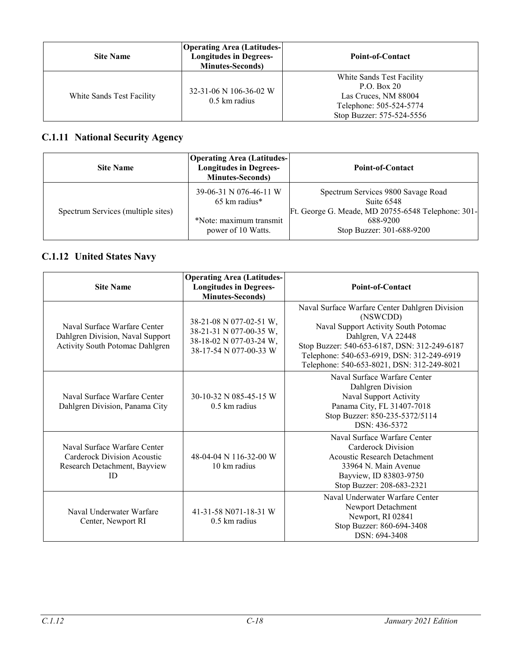| <b>Site Name</b>          | <b>Operating Area (Latitudes-</b><br><b>Longitudes in Degrees-</b><br><b>Minutes-Seconds</b> ) | Point-of-Contact                                                                                                         |
|---------------------------|------------------------------------------------------------------------------------------------|--------------------------------------------------------------------------------------------------------------------------|
| White Sands Test Facility | 32-31-06 N 106-36-02 W<br>$0.5 \text{ km}$ radius                                              | White Sands Test Facility<br>P.O. Box 20<br>Las Cruces, NM 88004<br>Telephone: 505-524-5774<br>Stop Buzzer: 575-524-5556 |

## **C.1.11 National Security Agency**

| <b>Site Name</b>                   | <b>Operating Area (Latitudes-</b><br><b>Longitudes in Degrees-</b><br><b>Minutes-Seconds</b> )     | <b>Point-of-Contact</b>                                                                                                                         |
|------------------------------------|----------------------------------------------------------------------------------------------------|-------------------------------------------------------------------------------------------------------------------------------------------------|
| Spectrum Services (multiple sites) | 39-06-31 N 076-46-11 W<br>$65 \text{ km}$ radius*<br>*Note: maximum transmit<br>power of 10 Watts. | Spectrum Services 9800 Savage Road<br>Suite 6548<br>Ft. George G. Meade, MD 20755-6548 Telephone: 301-<br>688-9200<br>Stop Buzzer: 301-688-9200 |

## **C.1.12 United States Navy**

| <b>Site Name</b>                                                                                    | <b>Operating Area (Latitudes-</b><br><b>Longitudes in Degrees-</b><br><b>Minutes-Seconds)</b>           | <b>Point-of-Contact</b>                                                                                                                                                                                                                                              |
|-----------------------------------------------------------------------------------------------------|---------------------------------------------------------------------------------------------------------|----------------------------------------------------------------------------------------------------------------------------------------------------------------------------------------------------------------------------------------------------------------------|
| Naval Surface Warfare Center<br>Dahlgren Division, Naval Support<br>Activity South Potomac Dahlgren | 38-21-08 N 077-02-51 W,<br>38-21-31 N 077-00-35 W,<br>38-18-02 N 077-03-24 W,<br>38-17-54 N 077-00-33 W | Naval Surface Warfare Center Dahlgren Division<br>(NSWCDD)<br>Naval Support Activity South Potomac<br>Dahlgren, VA 22448<br>Stop Buzzer: 540-653-6187, DSN: 312-249-6187<br>Telephone: 540-653-6919, DSN: 312-249-6919<br>Telephone: 540-653-8021, DSN: 312-249-8021 |
| Naval Surface Warfare Center<br>Dahlgren Division, Panama City                                      | 30-10-32 N 085-45-15 W<br>$0.5 \text{ km}$ radius                                                       | Naval Surface Warfare Center<br>Dahlgren Division<br>Naval Support Activity<br>Panama City, FL 31407-7018<br>Stop Buzzer: 850-235-5372/5114<br>DSN: 436-5372                                                                                                         |
| Naval Surface Warfare Center<br>Carderock Division Acoustic<br>Research Detachment, Bayview<br>ID   | 48-04-04 N 116-32-00 W<br>10 km radius                                                                  | Naval Surface Warfare Center<br>Carderock Division<br>Acoustic Research Detachment<br>33964 N. Main Avenue<br>Bayview, ID 83803-9750<br>Stop Buzzer: 208-683-2321                                                                                                    |
| Naval Underwater Warfare<br>Center, Newport RI                                                      | 41-31-58 N071-18-31 W<br>$0.5 \mathrm{km}$ radius                                                       | Naval Underwater Warfare Center<br>Newport Detachment<br>Newport, RI 02841<br>Stop Buzzer: 860-694-3408<br>DSN: 694-3408                                                                                                                                             |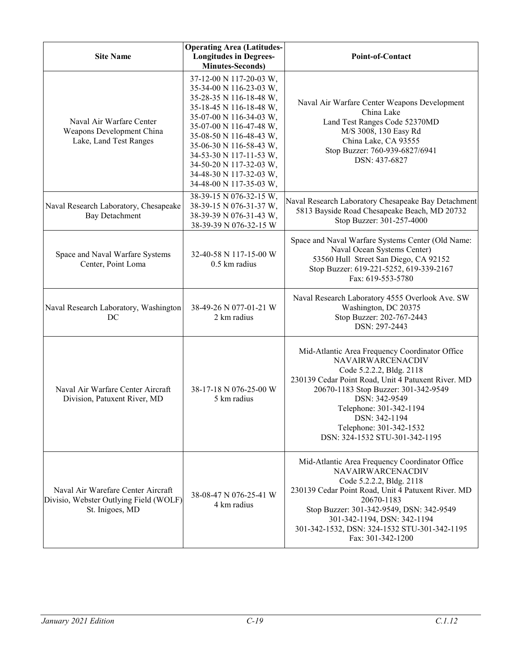| <b>Site Name</b>                                                                                | <b>Operating Area (Latitudes-</b><br><b>Longitudes in Degrees-</b><br><b>Minutes-Seconds)</b>                                                                                                                                                                                                                                    | Point-of-Contact                                                                                                                                                                                                                                                                                                               |
|-------------------------------------------------------------------------------------------------|----------------------------------------------------------------------------------------------------------------------------------------------------------------------------------------------------------------------------------------------------------------------------------------------------------------------------------|--------------------------------------------------------------------------------------------------------------------------------------------------------------------------------------------------------------------------------------------------------------------------------------------------------------------------------|
| Naval Air Warfare Center<br>Weapons Development China<br>Lake, Land Test Ranges                 | 37-12-00 N 117-20-03 W,<br>35-34-00 N 116-23-03 W,<br>35-28-35 N 116-18-48 W,<br>35-18-45 N 116-18-48 W,<br>35-07-00 N 116-34-03 W,<br>35-07-00 N 116-47-48 W,<br>35-08-50 N 116-48-43 W,<br>35-06-30 N 116-58-43 W,<br>34-53-30 N 117-11-53 W,<br>34-50-20 N 117-32-03 W,<br>34-48-30 N 117-32-03 W,<br>34-48-00 N 117-35-03 W, | Naval Air Warfare Center Weapons Development<br>China Lake<br>Land Test Ranges Code 52370MD<br>M/S 3008, 130 Easy Rd<br>China Lake, CA 93555<br>Stop Buzzer: 760-939-6827/6941<br>DSN: 437-6827                                                                                                                                |
| Naval Research Laboratory, Chesapeake<br><b>Bay Detachment</b>                                  | 38-39-15 N 076-32-15 W,<br>38-39-15 N 076-31-37 W,<br>38-39-39 N 076-31-43 W,<br>38-39-39 N 076-32-15 W                                                                                                                                                                                                                          | Naval Research Laboratory Chesapeake Bay Detachment<br>5813 Bayside Road Chesapeake Beach, MD 20732<br>Stop Buzzer: 301-257-4000                                                                                                                                                                                               |
| Space and Naval Warfare Systems<br>Center, Point Loma                                           | 32-40-58 N 117-15-00 W<br>$0.5$ km radius                                                                                                                                                                                                                                                                                        | Space and Naval Warfare Systems Center (Old Name:<br>Naval Ocean Systems Center)<br>53560 Hull Street San Diego, CA 92152<br>Stop Buzzer: 619-221-5252, 619-339-2167<br>Fax: 619-553-5780                                                                                                                                      |
| Naval Research Laboratory, Washington<br>DC                                                     | 38-49-26 N 077-01-21 W<br>2 km radius                                                                                                                                                                                                                                                                                            | Naval Research Laboratory 4555 Overlook Ave. SW<br>Washington, DC 20375<br>Stop Buzzer: 202-767-2443<br>DSN: 297-2443                                                                                                                                                                                                          |
| Naval Air Warfare Center Aircraft<br>Division, Patuxent River, MD                               | 38-17-18 N 076-25-00 W<br>5 km radius                                                                                                                                                                                                                                                                                            | Mid-Atlantic Area Frequency Coordinator Office<br><b>NAVAIRWARCENACDIV</b><br>Code 5.2.2.2, Bldg. 2118<br>230139 Cedar Point Road, Unit 4 Patuxent River. MD<br>20670-1183 Stop Buzzer: 301-342-9549<br>DSN: 342-9549<br>Telephone: 301-342-1194<br>DSN: 342-1194<br>Telephone: 301-342-1532<br>DSN: 324-1532 STU-301-342-1195 |
| Naval Air Warefare Center Aircraft<br>Divisio, Webster Outlying Field (WOLF)<br>St. Inigoes, MD | 38-08-47 N 076-25-41 W<br>4 km radius                                                                                                                                                                                                                                                                                            | Mid-Atlantic Area Frequency Coordinator Office<br><b>NAVAIRWARCENACDIV</b><br>Code 5.2.2.2, Bldg. 2118<br>230139 Cedar Point Road, Unit 4 Patuxent River. MD<br>20670-1183<br>Stop Buzzer: 301-342-9549, DSN: 342-9549<br>301-342-1194, DSN: 342-1194<br>301-342-1532, DSN: 324-1532 STU-301-342-1195<br>Fax: 301-342-1200     |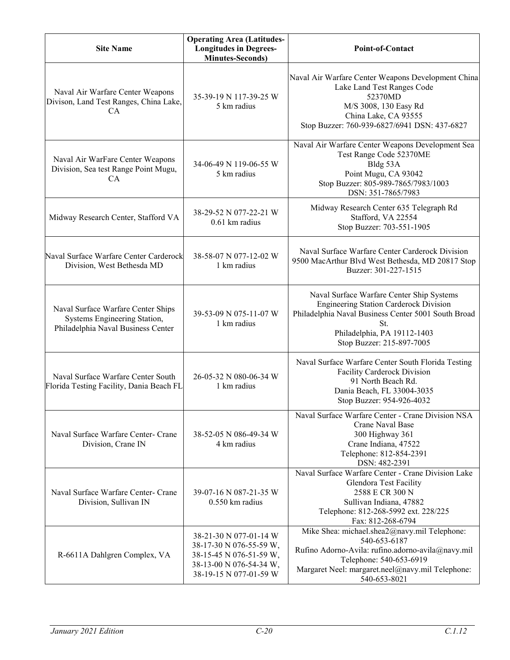| <b>Site Name</b>                                                                                         | <b>Operating Area (Latitudes-</b><br><b>Longitudes in Degrees-</b><br><b>Minutes-Seconds)</b>                                     | <b>Point-of-Contact</b>                                                                                                                                                                                              |
|----------------------------------------------------------------------------------------------------------|-----------------------------------------------------------------------------------------------------------------------------------|----------------------------------------------------------------------------------------------------------------------------------------------------------------------------------------------------------------------|
| Naval Air Warfare Center Weapons<br>Divison, Land Test Ranges, China Lake,<br><b>CA</b>                  | 35-39-19 N 117-39-25 W<br>5 km radius                                                                                             | Naval Air Warfare Center Weapons Development China<br>Lake Land Test Ranges Code<br>52370MD<br>M/S 3008, 130 Easy Rd<br>China Lake, CA 93555<br>Stop Buzzer: 760-939-6827/6941 DSN: 437-6827                         |
| Naval Air WarFare Center Weapons<br>Division, Sea test Range Point Mugu,<br><b>CA</b>                    | 34-06-49 N 119-06-55 W<br>5 km radius                                                                                             | Naval Air Warfare Center Weapons Development Sea<br>Test Range Code 52370ME<br>Bldg 53A<br>Point Mugu, CA 93042<br>Stop Buzzer: 805-989-7865/7983/1003<br>DSN: 351-7865/7983                                         |
| Midway Research Center, Stafford VA                                                                      | 38-29-52 N 077-22-21 W<br>0.61 km radius                                                                                          | Midway Research Center 635 Telegraph Rd<br>Stafford, VA 22554<br>Stop Buzzer: 703-551-1905                                                                                                                           |
| Naval Surface Warfare Center Carderock<br>Division, West Bethesda MD                                     | 38-58-07 N 077-12-02 W<br>1 km radius                                                                                             | Naval Surface Warfare Center Carderock Division<br>9500 MacArthur Blvd West Bethesda, MD 20817 Stop<br>Buzzer: 301-227-1515                                                                                          |
| Naval Surface Warfare Center Ships<br>Systems Engineering Station,<br>Philadelphia Naval Business Center | 39-53-09 N 075-11-07 W<br>1 km radius                                                                                             | Naval Surface Warfare Center Ship Systems<br><b>Engineering Station Carderock Division</b><br>Philadelphia Naval Business Center 5001 South Broad<br>St.<br>Philadelphia, PA 19112-1403<br>Stop Buzzer: 215-897-7005 |
| Naval Surface Warfare Center South<br>Florida Testing Facility, Dania Beach FL                           | 26-05-32 N 080-06-34 W<br>1 km radius                                                                                             | Naval Surface Warfare Center South Florida Testing<br>Facility Carderock Division<br>91 North Beach Rd.<br>Dania Beach, FL 33004-3035<br>Stop Buzzer: 954-926-4032                                                   |
| Naval Surface Warfare Center- Crane<br>Division, Crane IN                                                | 38-52-05 N 086-49-34 W<br>4 km radius                                                                                             | Naval Surface Warfare Center - Crane Division NSA<br>Crane Naval Base<br>300 Highway 361<br>Crane Indiana, 47522<br>Telephone: 812-854-2391<br>DSN: 482-2391                                                         |
| Naval Surface Warfare Center- Crane<br>Division, Sullivan IN                                             | 39-07-16 N 087-21-35 W<br>$0.550$ km radius                                                                                       | Naval Surface Warfare Center - Crane Division Lake<br>Glendora Test Facility<br>2588 E CR 300 N<br>Sullivan Indiana, 47882<br>Telephone: 812-268-5992 ext. 228/225<br>Fax: 812-268-6794                              |
| R-6611A Dahlgren Complex, VA                                                                             | 38-21-30 N 077-01-14 W<br>38-17-30 N 076-55-59 W,<br>38-15-45 N 076-51-59 W,<br>38-13-00 N 076-54-34 W,<br>38-19-15 N 077-01-59 W | Mike Shea: michael.shea2@navy.mil Telephone:<br>540-653-6187<br>Rufino Adorno-Avila: rufino.adorno-avila@navy.mil<br>Telephone: 540-653-6919<br>Margaret Neel: margaret.neel@navy.mil Telephone:<br>540-653-8021     |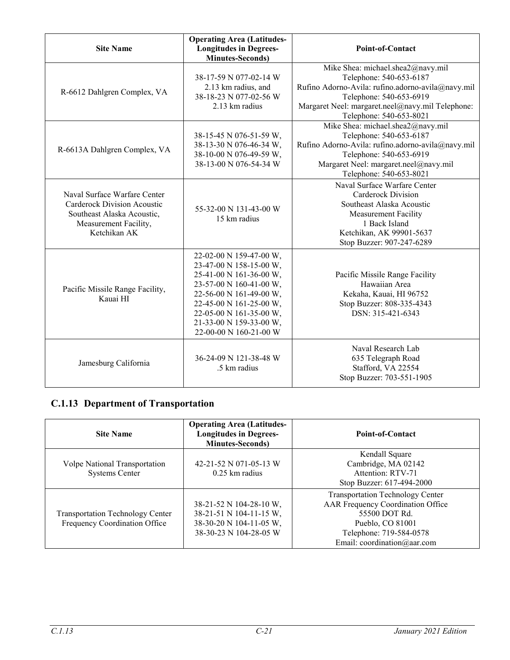| <b>Site Name</b>                                                                                                                   | <b>Operating Area (Latitudes-</b><br><b>Longitudes in Degrees-</b><br><b>Minutes-Seconds)</b>                                                                                                                                                  | <b>Point-of-Contact</b>                                                                                                                                                                                                     |
|------------------------------------------------------------------------------------------------------------------------------------|------------------------------------------------------------------------------------------------------------------------------------------------------------------------------------------------------------------------------------------------|-----------------------------------------------------------------------------------------------------------------------------------------------------------------------------------------------------------------------------|
| R-6612 Dahlgren Complex, VA                                                                                                        | 38-17-59 N 077-02-14 W<br>2.13 km radius, and<br>38-18-23 N 077-02-56 W<br>2.13 km radius                                                                                                                                                      | Mike Shea: michael.shea2@navy.mil<br>Telephone: 540-653-6187<br>Rufino Adorno-Avila: rufino.adorno-avila@navy.mil<br>Telephone: 540-653-6919<br>Margaret Neel: margaret.neel@navy.mil Telephone:<br>Telephone: 540-653-8021 |
| R-6613A Dahlgren Complex, VA                                                                                                       | 38-15-45 N 076-51-59 W,<br>38-13-30 N 076-46-34 W,<br>38-10-00 N 076-49-59 W,<br>38-13-00 N 076-54-34 W                                                                                                                                        | Mike Shea: michael.shea2@navy.mil<br>Telephone: 540-653-6187<br>Rufino Adorno-Avila: rufino.adorno-avila@navy.mil<br>Telephone: 540-653-6919<br>Margaret Neel: margaret.neel@navy.mil<br>Telephone: 540-653-8021            |
| Naval Surface Warfare Center<br>Carderock Division Acoustic<br>Southeast Alaska Acoustic,<br>Measurement Facility,<br>Ketchikan AK | 55-32-00 N 131-43-00 W<br>15 km radius                                                                                                                                                                                                         | Naval Surface Warfare Center<br>Carderock Division<br>Southeast Alaska Acoustic<br><b>Measurement Facility</b><br>1 Back Island<br>Ketchikan, AK 99901-5637<br>Stop Buzzer: 907-247-6289                                    |
| Pacific Missile Range Facility,<br>Kauai HI                                                                                        | 22-02-00 N 159-47-00 W,<br>23-47-00 N 158-15-00 W,<br>25-41-00 N 161-36-00 W,<br>23-57-00 N 160-41-00 W,<br>22-56-00 N 161-49-00 W,<br>22-45-00 N 161-25-00 W,<br>22-05-00 N 161-35-00 W,<br>21-33-00 N 159-33-00 W,<br>22-00-00 N 160-21-00 W | Pacific Missile Range Facility<br>Hawaiian Area<br>Kekaha, Kauai, HI 96752<br>Stop Buzzer: 808-335-4343<br>DSN: 315-421-6343                                                                                                |
| Jamesburg California                                                                                                               | 36-24-09 N 121-38-48 W<br>.5 km radius                                                                                                                                                                                                         | Naval Research Lab<br>635 Telegraph Road<br>Stafford, VA 22554<br>Stop Buzzer: 703-551-1905                                                                                                                                 |

## **C.1.13 Department of Transportation**

| <b>Site Name</b>                                                         | <b>Operating Area (Latitudes-</b><br><b>Longitudes in Degrees-</b><br><b>Minutes-Seconds)</b>           | <b>Point-of-Contact</b>                                                                                                                                                     |
|--------------------------------------------------------------------------|---------------------------------------------------------------------------------------------------------|-----------------------------------------------------------------------------------------------------------------------------------------------------------------------------|
| Volpe National Transportation<br><b>Systems Center</b>                   | 42-21-52 N 071-05-13 W<br>$0.25$ km radius                                                              | Kendall Square<br>Cambridge, MA 02142<br>Attention: RTV-71<br>Stop Buzzer: 617-494-2000                                                                                     |
| <b>Transportation Technology Center</b><br>Frequency Coordination Office | 38-21-52 N 104-28-10 W,<br>38-21-51 N 104-11-15 W,<br>38-30-20 N 104-11-05 W,<br>38-30-23 N 104-28-05 W | <b>Transportation Technology Center</b><br>AAR Frequency Coordination Office<br>55500 DOT Rd.<br>Pueblo, CO 81001<br>Telephone: 719-584-0578<br>Email: coordination@aar.com |